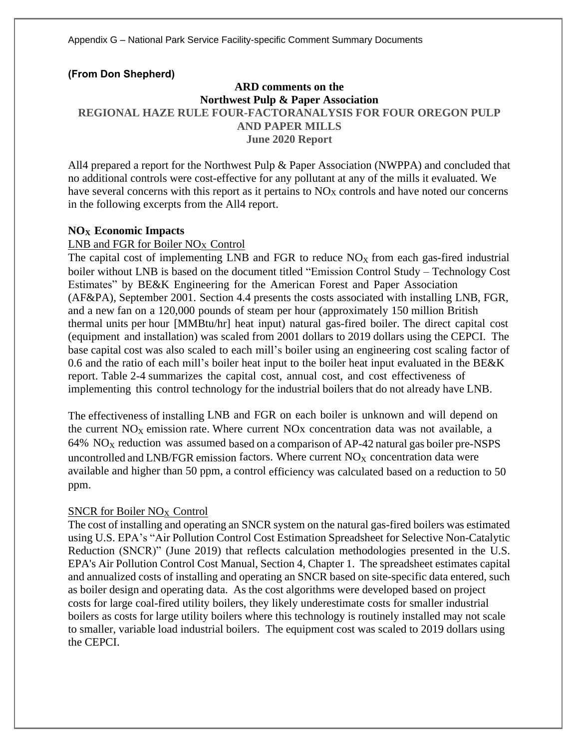## **(From Don Shepherd)**

# **ARD comments on the Northwest Pulp & Paper Association REGIONAL HAZE RULE FOUR-FACTORANALYSIS FOR FOUR OREGON PULP AND PAPER MILLS June 2020 Report**

All4 prepared a report for the Northwest Pulp & Paper Association (NWPPA) and concluded that no additional controls were cost-effective for any pollutant at any of the mills it evaluated. We have several concerns with this report as it pertains to NO<sub>X</sub> controls and have noted our concerns in the following excerpts from the All4 report.

# **NO<sup>X</sup> Economic Impacts**

## LNB and FGR for Boiler NO<sub>X</sub> Control

The capital cost of implementing LNB and FGR to reduce  $NO<sub>X</sub>$  from each gas-fired industrial boiler without LNB is based on the document titled "Emission Control Study – Technology Cost Estimates" by BE&K Engineering for the American Forest and Paper Association (AF&PA), September 2001. Section 4.4 presents the costs associated with installing LNB, FGR, and a new fan on a 120,000 pounds of steam per hour (approximately 150 million British thermal units per hour [MMBtu/hr] heat input) natural gas-fired boiler. The direct capital cost (equipment and installation) was scaled from 2001 dollars to 2019 dollars using the CEPCI. The base capital cost was also scaled to each mill's boiler using an engineering cost scaling factor of 0.6 and the ratio of each mill's boiler heat input to the boiler heat input evaluated in the BE&K report. Table 2-4 summarizes the capital cost, annual cost, and cost effectiveness of implementing this control technology for the industrial boilers that do not already have LNB.

The effectiveness of installing LNB and FGR on each boiler is unknown and will depend on the current  $NO<sub>x</sub>$  emission rate. Where current  $NO<sub>x</sub>$  concentration data was not available, a  $64\%$  NO<sub>X</sub> reduction was assumed based on a comparison of AP-42 natural gas boiler pre-NSPS uncontrolled and LNB/FGR emission factors. Where current  $NO<sub>X</sub>$  concentration data were available and higher than 50 ppm, a control efficiency was calculated based on a reduction to 50 ppm.

#### SNCR for Boiler  $NO<sub>X</sub>$  Control

The cost of installing and operating an SNCR system on the natural gas-fired boilers was estimated using U.S. EPA's "Air Pollution Control Cost Estimation Spreadsheet for Selective Non-Catalytic Reduction (SNCR)" (June 2019) that reflects calculation methodologies presented in the U.S. EPA's Air Pollution Control Cost Manual, Section 4, Chapter 1. The spreadsheet estimates capital and annualized costs of installing and operating an SNCR based on site-specific data entered, such as boiler design and operating data. As the cost algorithms were developed based on project costs for large coal-fired utility boilers, they likely underestimate costs for smaller industrial boilers as costs for large utility boilers where this technology is routinely installed may not scale to smaller, variable load industrial boilers. The equipment cost was scaled to 2019 dollars using the CEPCI.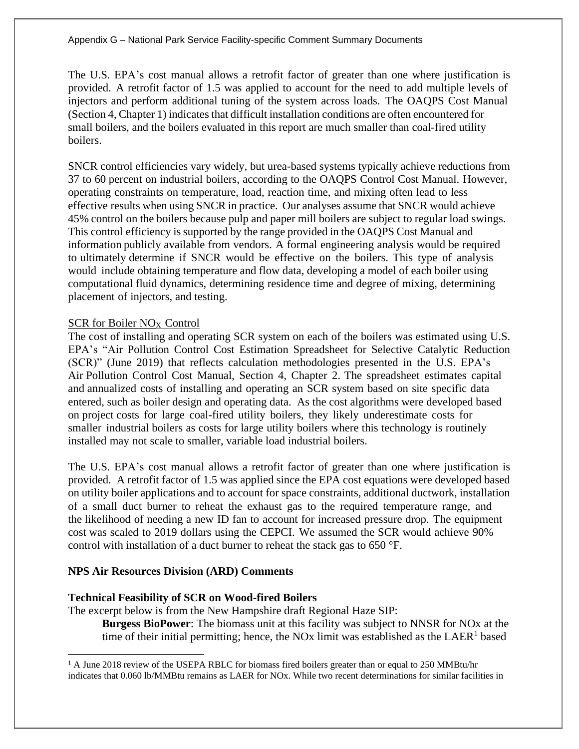The U.S. EPA's cost manual allows a retrofit factor of greater than one where justification is provided. A retrofit factor of 1.5 was applied to account for the need to add multiple levels of injectors and perform additional tuning of the system across loads. The OAQPS Cost Manual (Section 4, Chapter 1) indicates that difficult installation conditions are often encountered for small boilers, and the boilers evaluated in this report are much smaller than coal-fired utility boilers.

SNCR control efficiencies vary widely, but urea-based systems typically achieve reductions from 37 to 60 percent on industrial boilers, according to the OAQPS Control Cost Manual. However, operating constraints on temperature, load, reaction time, and mixing often lead to less effective results when using SNCR in practice. Our analyses assume that SNCR would achieve 45% control on the boilers because pulp and paper mill boilers are subject to regular load swings. This control efficiency is supported by the range provided in the OAQPS Cost Manual and information publicly available from vendors. A formal engineering analysis would be required to ultimately determine if SNCR would be effective on the boilers. This type of analysis would include obtaining temperature and flow data, developing a model of each boiler using computational fluid dynamics, determining residence time and degree of mixing, determining placement of injectors, and testing.

# SCR for Boiler NO<sub>X</sub> Control

The cost of installing and operating SCR system on each of the boilers was estimated using U.S. EPA's "Air Pollution Control Cost Estimation Spreadsheet for Selective Catalytic Reduction (SCR)" (June 2019) that reflects calculation methodologies presented in the U.S. EPA's Air Pollution Control Cost Manual, Section 4, Chapter 2. The spreadsheet estimates capital and annualized costs of installing and operating an SCR system based on site specific data entered, such as boiler design and operating data. As the cost algorithms were developed based on project costs for large coal-fired utility boilers, they likely underestimate costs for smaller industrial boilers as costs for large utility boilers where this technology is routinely installed may not scale to smaller, variable load industrial boilers.

The U.S. EPA's cost manual allows a retrofit factor of greater than one where justification is provided. A retrofit factor of 1.5 was applied since the EPA cost equations were developed based on utility boiler applications and to account for space constraints, additional ductwork, installation of a small duct burner to reheat the exhaust gas to the required temperature range, and the likelihood of needing a new ID fan to account for increased pressure drop. The equipment cost was scaled to 2019 dollars using the CEPCI. We assumed the SCR would achieve 90% control with installation of a duct burner to reheat the stack gas to 650 °F.

#### **NPS Air Resources Division (ARD) Comments**

#### **Technical Feasibility of SCR on Wood-fired Boilers**

The excerpt below is from the New Hampshire draft Regional Haze SIP:

**Burgess BioPower**: The biomass unit at this facility was subject to NNSR for NOx at the time of their initial permitting; hence, the NO<sub>x</sub> limit was established as the LAER<sup>1</sup> based

<sup>&</sup>lt;sup>1</sup> A June 2018 review of the USEPA RBLC for biomass fired boilers greater than or equal to 250 MMBtu/hr indicates that 0.060 lb/MMBtu remains as LAER for NOx. While two recent determinations for similar facilities in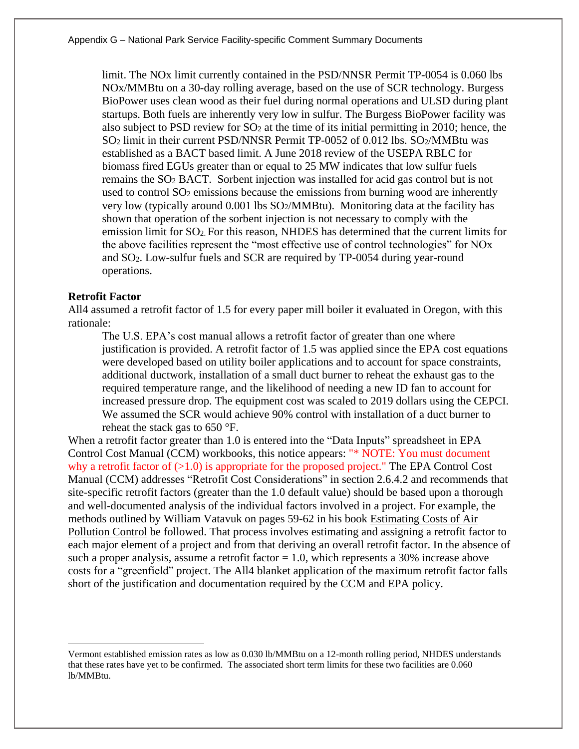limit. The NOx limit currently contained in the PSD/NNSR Permit TP-0054 is 0.060 lbs NOx/MMBtu on a 30-day rolling average, based on the use of SCR technology. Burgess BioPower uses clean wood as their fuel during normal operations and ULSD during plant startups. Both fuels are inherently very low in sulfur. The Burgess BioPower facility was also subject to PSD review for  $SO<sub>2</sub>$  at the time of its initial permitting in 2010; hence, the SO<sub>2</sub> limit in their current PSD/NNSR Permit TP-0052 of 0.012 lbs. SO<sub>2</sub>/MMBtu was established as a BACT based limit. A June 2018 review of the USEPA RBLC for biomass fired EGUs greater than or equal to 25 MW indicates that low sulfur fuels remains the SO<sup>2</sup> BACT. Sorbent injection was installed for acid gas control but is not used to control SO<sub>2</sub> emissions because the emissions from burning wood are inherently very low (typically around  $0.001$  lbs  $SO<sub>2</sub>/MMBtu$ ). Monitoring data at the facility has shown that operation of the sorbent injection is not necessary to comply with the emission limit for SO2. For this reason, NHDES has determined that the current limits for the above facilities represent the "most effective use of control technologies" for NOx and SO2. Low-sulfur fuels and SCR are required by TP-0054 during year-round operations.

#### **Retrofit Factor**

All4 assumed a retrofit factor of 1.5 for every paper mill boiler it evaluated in Oregon, with this rationale:

The U.S. EPA's cost manual allows a retrofit factor of greater than one where justification is provided. A retrofit factor of 1.5 was applied since the EPA cost equations were developed based on utility boiler applications and to account for space constraints, additional ductwork, installation of a small duct burner to reheat the exhaust gas to the required temperature range, and the likelihood of needing a new ID fan to account for increased pressure drop. The equipment cost was scaled to 2019 dollars using the CEPCI. We assumed the SCR would achieve 90% control with installation of a duct burner to reheat the stack gas to 650 °F.

When a retrofit factor greater than 1.0 is entered into the "Data Inputs" spreadsheet in EPA Control Cost Manual (CCM) workbooks, this notice appears: "\* NOTE: You must document why a retrofit factor of  $(0.1.0)$  is appropriate for the proposed project." The EPA Control Cost Manual (CCM) addresses "Retrofit Cost Considerations" in section 2.6.4.2 and recommends that site-specific retrofit factors (greater than the 1.0 default value) should be based upon a thorough and well-documented analysis of the individual factors involved in a project. For example, the methods outlined by William Vatavuk on pages 59-62 in his book Estimating Costs of Air Pollution Control be followed. That process involves estimating and assigning a retrofit factor to each major element of a project and from that deriving an overall retrofit factor. In the absence of such a proper analysis, assume a retrofit factor  $= 1.0$ , which represents a 30% increase above costs for a "greenfield" project. The All4 blanket application of the maximum retrofit factor falls short of the justification and documentation required by the CCM and EPA policy.

Vermont established emission rates as low as 0.030 lb/MMBtu on a 12-month rolling period, NHDES understands that these rates have yet to be confirmed. The associated short term limits for these two facilities are 0.060 lb/MMBtu.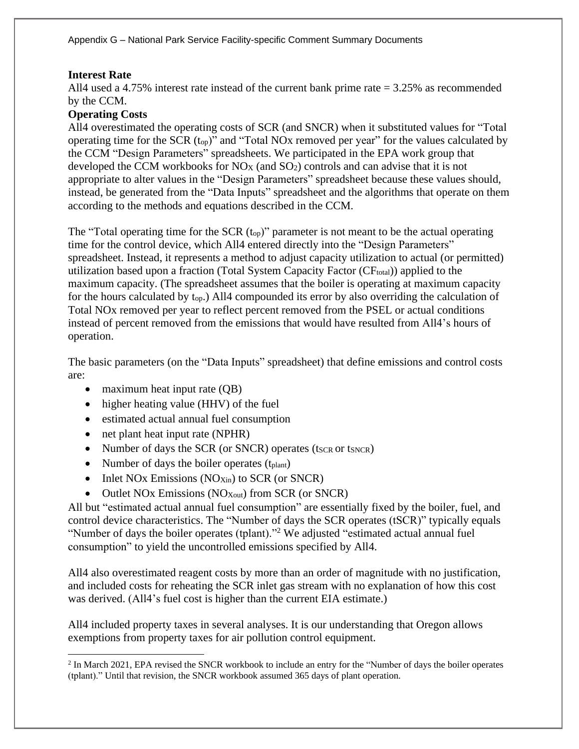## **Interest Rate**

All4 used a 4.75% interest rate instead of the current bank prime rate = 3.25% as recommended by the CCM.

# **Operating Costs**

All4 overestimated the operating costs of SCR (and SNCR) when it substituted values for "Total operating time for the SCR (top)" and "Total NOx removed per year" for the values calculated by the CCM "Design Parameters" spreadsheets. We participated in the EPA work group that developed the CCM workbooks for NO<sup>X</sup> (and SO2) controls and can advise that it is not appropriate to alter values in the "Design Parameters" spreadsheet because these values should, instead, be generated from the "Data Inputs" spreadsheet and the algorithms that operate on them according to the methods and equations described in the CCM.

The "Total operating time for the SCR  $(t_{op})$ " parameter is not meant to be the actual operating time for the control device, which All4 entered directly into the "Design Parameters" spreadsheet. Instead, it represents a method to adjust capacity utilization to actual (or permitted) utilization based upon a fraction (Total System Capacity Factor (CF<sub>total</sub>)) applied to the maximum capacity. (The spreadsheet assumes that the boiler is operating at maximum capacity for the hours calculated by top.) All4 compounded its error by also overriding the calculation of Total NOx removed per year to reflect percent removed from the PSEL or actual conditions instead of percent removed from the emissions that would have resulted from All4's hours of operation.

The basic parameters (on the "Data Inputs" spreadsheet) that define emissions and control costs are:

- maximum heat input rate (QB)
- higher heating value (HHV) of the fuel
- estimated actual annual fuel consumption
- net plant heat input rate (NPHR)
- Number of days the SCR (or SNCR) operates (tscr or tsncr)
- Number of days the boiler operates  $(t<sub>plant</sub>)$
- Inlet NOx Emissions (NO<sub>Xin</sub>) to SCR (or SNCR)
- Outlet NOx Emissions (NO<sub>Xout</sub>) from SCR (or SNCR)

All but "estimated actual annual fuel consumption" are essentially fixed by the boiler, fuel, and control device characteristics. The "Number of days the SCR operates (tSCR)" typically equals "Number of days the boiler operates (tplant)."<sup>2</sup> We adjusted "estimated actual annual fuel consumption" to yield the uncontrolled emissions specified by All4.

All4 also overestimated reagent costs by more than an order of magnitude with no justification, and included costs for reheating the SCR inlet gas stream with no explanation of how this cost was derived. (All4's fuel cost is higher than the current EIA estimate.)

All4 included property taxes in several analyses. It is our understanding that Oregon allows exemptions from property taxes for air pollution control equipment.

<sup>&</sup>lt;sup>2</sup> In March 2021, EPA revised the SNCR workbook to include an entry for the "Number of days the boiler operates (tplant)." Until that revision, the SNCR workbook assumed 365 days of plant operation.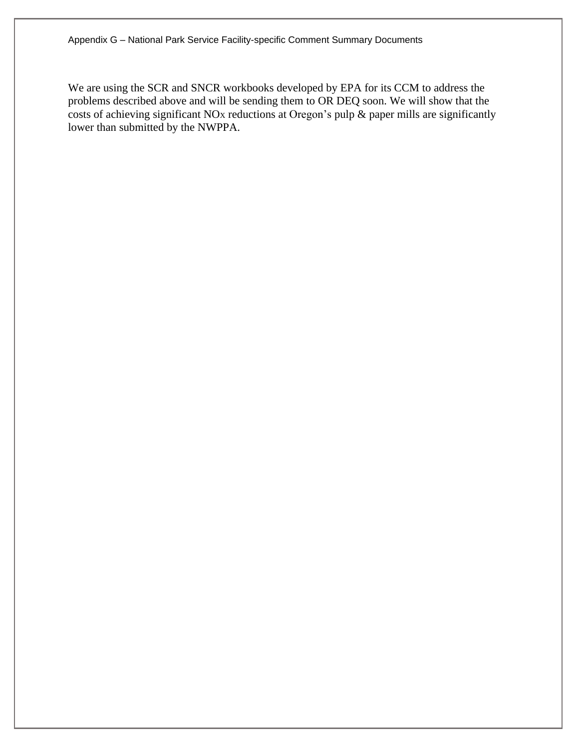We are using the SCR and SNCR workbooks developed by EPA for its CCM to address the problems described above and will be sending them to OR DEQ soon. We will show that the costs of achieving significant  $NO<sub>X</sub>$  reductions at Oregon's pulp  $\&$  paper mills are significantly lower than submitted by the NWPPA.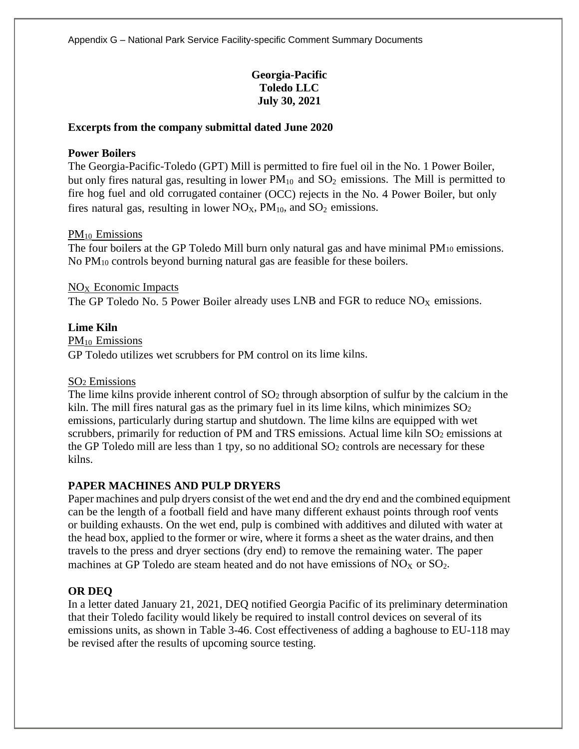# **Georgia-Pacific Toledo LLC July 30, 2021**

#### **Excerpts from the company submittal dated June 2020**

#### **Power Boilers**

The Georgia-Pacific-Toledo (GPT) Mill is permitted to fire fuel oil in the No. 1 Power Boiler, but only fires natural gas, resulting in lower  $PM_{10}$  and  $SO_2$  emissions. The Mill is permitted to fire hog fuel and old corrugated container (OCC) rejects in the No. 4 Power Boiler, but only fires natural gas, resulting in lower  $NO<sub>X</sub>$ ,  $PM<sub>10</sub>$ , and  $SO<sub>2</sub>$  emissions.

#### PM<sup>10</sup> Emissions

The four boilers at the GP Toledo Mill burn only natural gas and have minimal PM<sub>10</sub> emissions. No PM<sup>10</sup> controls beyond burning natural gas are feasible for these boilers.

## $NO<sub>x</sub>$  Economic Impacts

The GP Toledo No. 5 Power Boiler already uses LNB and FGR to reduce  $NO<sub>X</sub>$  emissions.

## **Lime Kiln**

PM<sub>10</sub> Emissions GP Toledo utilizes wet scrubbers for PM control on its lime kilns.

#### SO<sup>2</sup> Emissions

The lime kilns provide inherent control of  $SO<sub>2</sub>$  through absorption of sulfur by the calcium in the kiln. The mill fires natural gas as the primary fuel in its lime kilns, which minimizes  $SO<sub>2</sub>$ emissions, particularly during startup and shutdown. The lime kilns are equipped with wet scrubbers, primarily for reduction of PM and TRS emissions. Actual lime kiln SO<sub>2</sub> emissions at the GP Toledo mill are less than  $1$  tpy, so no additional  $SO<sub>2</sub>$  controls are necessary for these kilns.

# **PAPER MACHINES AND PULP DRYERS**

Paper machines and pulp dryers consist of the wet end and the dry end and the combined equipment can be the length of a football field and have many different exhaust points through roof vents or building exhausts. On the wet end, pulp is combined with additives and diluted with water at the head box, applied to the former or wire, where it forms a sheet as the water drains, and then travels to the press and dryer sections (dry end) to remove the remaining water. The paper machines at GP Toledo are steam heated and do not have emissions of  $NO<sub>X</sub>$  or  $SO<sub>2</sub>$ .

# **OR DEQ**

In a letter dated January 21, 2021, DEQ notified Georgia Pacific of its preliminary determination that their Toledo facility would likely be required to install control devices on several of its emissions units, as shown in Table 3-46. Cost effectiveness of adding a baghouse to EU-118 may be revised after the results of upcoming source testing.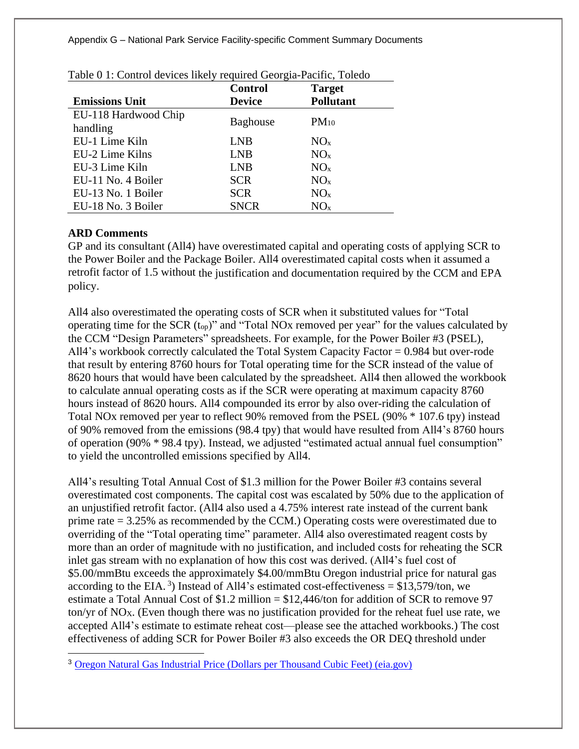|                       | <b>Control</b>  | <b>Target</b>    |
|-----------------------|-----------------|------------------|
| <b>Emissions Unit</b> | <b>Device</b>   | <b>Pollutant</b> |
| EU-118 Hardwood Chip  |                 |                  |
| handling              | <b>Baghouse</b> | $PM_{10}$        |
| EU-1 Lime Kiln        | <b>LNB</b>      | NO <sub>x</sub>  |
| EU-2 Lime Kilns       | <b>LNB</b>      | NO <sub>x</sub>  |
| EU-3 Lime Kiln        | <b>LNB</b>      | NO <sub>x</sub>  |
| EU-11 No. 4 Boiler    | <b>SCR</b>      | NO <sub>x</sub>  |
| EU-13 No. 1 Boiler    | <b>SCR</b>      | NO <sub>x</sub>  |
| EU-18 No. 3 Boiler    | <b>SNCR</b>     | NO <sub>x</sub>  |

# **ARD Comments**

GP and its consultant (All4) have overestimated capital and operating costs of applying SCR to the Power Boiler and the Package Boiler. All4 overestimated capital costs when it assumed a retrofit factor of 1.5 without the justification and documentation required by the CCM and EPA policy.

All4 also overestimated the operating costs of SCR when it substituted values for "Total operating time for the SCR (top)" and "Total NOx removed per year" for the values calculated by the CCM "Design Parameters" spreadsheets. For example, for the Power Boiler #3 (PSEL), All4's workbook correctly calculated the Total System Capacity Factor = 0.984 but over-rode that result by entering 8760 hours for Total operating time for the SCR instead of the value of 8620 hours that would have been calculated by the spreadsheet. All4 then allowed the workbook to calculate annual operating costs as if the SCR were operating at maximum capacity 8760 hours instead of 8620 hours. All4 compounded its error by also over-riding the calculation of Total NOx removed per year to reflect 90% removed from the PSEL (90% \* 107.6 tpy) instead of 90% removed from the emissions (98.4 tpy) that would have resulted from All4's 8760 hours of operation (90% \* 98.4 tpy). Instead, we adjusted "estimated actual annual fuel consumption" to yield the uncontrolled emissions specified by All4.

All4's resulting Total Annual Cost of \$1.3 million for the Power Boiler #3 contains several overestimated cost components. The capital cost was escalated by 50% due to the application of an unjustified retrofit factor. (All4 also used a 4.75% interest rate instead of the current bank prime rate  $= 3.25\%$  as recommended by the CCM.) Operating costs were overestimated due to overriding of the "Total operating time" parameter. All4 also overestimated reagent costs by more than an order of magnitude with no justification, and included costs for reheating the SCR inlet gas stream with no explanation of how this cost was derived. (All4's fuel cost of \$5.00/mmBtu exceeds the approximately \$4.00/mmBtu Oregon industrial price for natural gas according to the EIA.<sup>3</sup>) Instead of All4's estimated cost-effectiveness =  $$13,579/t$ on, we estimate a Total Annual Cost of  $$1.2$  million  $= $12.446/$ ton for addition of SCR to remove 97 ton/yr of NOX. (Even though there was no justification provided for the reheat fuel use rate, we accepted All4's estimate to estimate reheat cost—please see the attached workbooks.) The cost effectiveness of adding SCR for Power Boiler #3 also exceeds the OR DEQ threshold under

<sup>&</sup>lt;sup>3</sup> [Oregon Natural Gas Industrial Price \(Dollars per Thousand Cubic Feet\) \(eia.gov\)](https://www.eia.gov/dnav/ng/hist/n3035or3m.htm)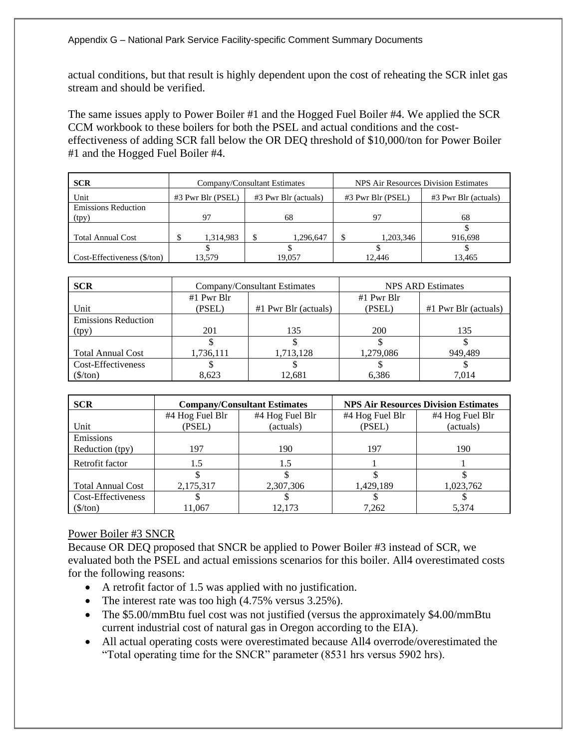actual conditions, but that result is highly dependent upon the cost of reheating the SCR inlet gas stream and should be verified.

The same issues apply to Power Boiler #1 and the Hogged Fuel Boiler #4. We applied the SCR CCM workbook to these boilers for both the PSEL and actual conditions and the costeffectiveness of adding SCR fall below the OR DEQ threshold of \$10,000/ton for Power Boiler #1 and the Hogged Fuel Boiler #4.

| <b>SCR</b>                  | Company/Consultant Estimates              |           |                   |                      | NPS Air Resources Division Estimates |         |
|-----------------------------|-------------------------------------------|-----------|-------------------|----------------------|--------------------------------------|---------|
| Unit                        | #3 Pwr Blr (actuals)<br>#3 Pwr Blr (PSEL) |           | #3 Pwr Blr (PSEL) | #3 Pwr Blr (actuals) |                                      |         |
| <b>Emissions Reduction</b>  |                                           |           |                   |                      |                                      |         |
| (tpy)                       |                                           | 97        |                   | 68                   | 97                                   | 68      |
|                             |                                           |           |                   |                      |                                      |         |
| <b>Total Annual Cost</b>    |                                           | 1.314.983 |                   | 1.296.647            | 1,203,346                            | 916,698 |
|                             |                                           |           |                   |                      |                                      |         |
| Cost-Effectiveness (\$/ton) |                                           | 13.579    |                   | 19.057               | 12.446                               | 13.465  |

| <b>SCR</b>                 |            | Company/Consultant Estimates | NPS ARD Estimates |                        |  |
|----------------------------|------------|------------------------------|-------------------|------------------------|--|
|                            | #1 Pwr Blr |                              | $#1$ Pwr Blr      |                        |  |
| Unit                       | (PSEL)     | $#1$ Pwr Blr (actuals)       | (PSEL)            | $#1$ Pwr Blr (actuals) |  |
| <b>Emissions Reduction</b> |            |                              |                   |                        |  |
| (tpy)                      | 201        | 135                          | 200               | 135                    |  |
|                            |            |                              |                   |                        |  |
| <b>Total Annual Cost</b>   | 1,736,111  | 1,713,128                    | 1,279,086         | 949.489                |  |
| Cost-Effectiveness         |            |                              |                   |                        |  |
| (\$/ton)                   | 8,623      | 12,681                       | 6.386             | 7.014                  |  |

| <b>SCR</b>               |                 | <b>Company/Consultant Estimates</b> |                 | <b>NPS Air Resources Division Estimates</b> |
|--------------------------|-----------------|-------------------------------------|-----------------|---------------------------------------------|
|                          | #4 Hog Fuel Blr | #4 Hog Fuel Blr                     | #4 Hog Fuel Blr | #4 Hog Fuel Blr                             |
| Unit                     | (PSEL)          | (actuals)                           | (PSEL)          | (actuals)                                   |
| Emissions                |                 |                                     |                 |                                             |
| Reduction (tpy)          | 197             | 190                                 | 197             | 190                                         |
| Retrofit factor          | 1.5             | 1.5                                 |                 |                                             |
|                          |                 |                                     |                 |                                             |
| <b>Total Annual Cost</b> | 2,175,317       | 2,307,306                           | 1,429,189       | 1,023,762                                   |
| Cost-Effectiveness       |                 |                                     |                 |                                             |
| $(\frac{\sqrt{2}}{\pi})$ | 11.067          | 12.173                              | 7.262           | 5.374                                       |

# Power Boiler #3 SNCR

Because OR DEQ proposed that SNCR be applied to Power Boiler #3 instead of SCR, we evaluated both the PSEL and actual emissions scenarios for this boiler. All4 overestimated costs for the following reasons:

- A retrofit factor of 1.5 was applied with no justification.
- The interest rate was too high (4.75% versus 3.25%).
- The \$5.00/mmBtu fuel cost was not justified (versus the approximately \$4.00/mmBtu current industrial cost of natural gas in Oregon according to the EIA).
- All actual operating costs were overestimated because All4 overrode/overestimated the "Total operating time for the SNCR" parameter (8531 hrs versus 5902 hrs).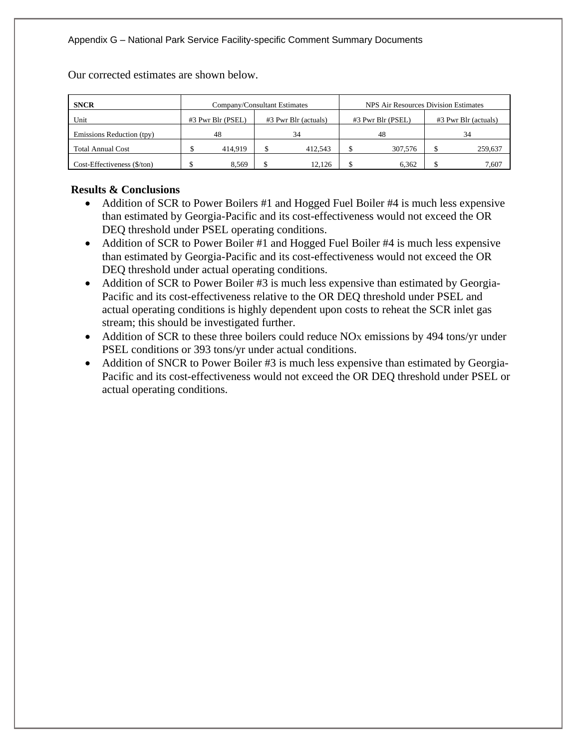| <b>SNCR</b>                 | Company/Consultant Estimates |                                           |  |         | NPS Air Resources Division Estimates |         |                      |
|-----------------------------|------------------------------|-------------------------------------------|--|---------|--------------------------------------|---------|----------------------|
| Unit                        |                              | #3 Pwr Blr (PSEL)<br>#3 Pwr Blr (actuals) |  |         | #3 Pwr Blr (PSEL)                    |         | #3 Pwr Blr (actuals) |
| Emissions Reduction (tpy)   |                              | 48                                        |  | 34      |                                      | 48      | 34                   |
| <b>Total Annual Cost</b>    |                              | 414.919                                   |  | 412.543 |                                      | 307,576 | 259,637              |
| Cost-Effectiveness (\$/ton) |                              | 8.569                                     |  | 12.126  |                                      | 6.362   | 7.607                |

Our corrected estimates are shown below.

# **Results & Conclusions**

- Addition of SCR to Power Boilers #1 and Hogged Fuel Boiler #4 is much less expensive than estimated by Georgia-Pacific and its cost-effectiveness would not exceed the OR DEQ threshold under PSEL operating conditions.
- Addition of SCR to Power Boiler #1 and Hogged Fuel Boiler #4 is much less expensive than estimated by Georgia-Pacific and its cost-effectiveness would not exceed the OR DEQ threshold under actual operating conditions.
- Addition of SCR to Power Boiler #3 is much less expensive than estimated by Georgia-Pacific and its cost-effectiveness relative to the OR DEQ threshold under PSEL and actual operating conditions is highly dependent upon costs to reheat the SCR inlet gas stream; this should be investigated further.
- Addition of SCR to these three boilers could reduce NO<sub>X</sub> emissions by 494 tons/yr under PSEL conditions or 393 tons/yr under actual conditions.
- Addition of SNCR to Power Boiler #3 is much less expensive than estimated by Georgia-Pacific and its cost-effectiveness would not exceed the OR DEQ threshold under PSEL or actual operating conditions.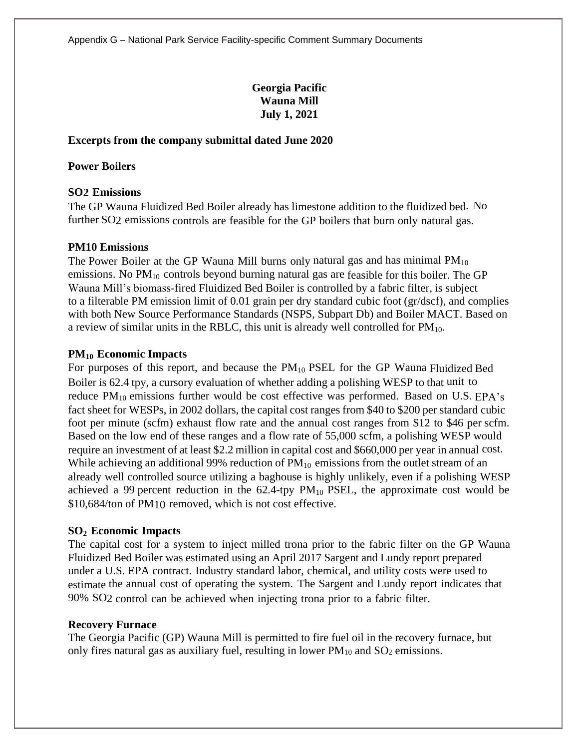# **Georgia Pacific Wauna Mill July 1, 2021**

## **Excerpts from the company submittal dated June 2020**

## **Power Boilers**

# **SO2 Emissions**

The GP Wauna Fluidized Bed Boiler already has limestone addition to the fluidized bed. No further SO2 emissions controls are feasible for the GP boilers that burn only natural gas.

## **PM10 Emissions**

The Power Boiler at the GP Wauna Mill burns only natural gas and has minimal  $PM_{10}$ emissions. No  $PM_{10}$  controls beyond burning natural gas are feasible for this boiler. The GP Wauna Mill's biomass-fired Fluidized Bed Boiler is controlled by a fabric filter, is subject to a filterable PM emission limit of 0.01 grain per dry standard cubic foot (gr/dscf), and complies with both New Source Performance Standards (NSPS, Subpart Db) and Boiler MACT. Based on a review of similar units in the RBLC, this unit is already well controlled for  $PM_{10}$ .

## **PM<sup>10</sup> Economic Impacts**

For purposes of this report, and because the  $PM_{10}$  PSEL for the GP Wauna Fluidized Bed Boiler is 62.4 tpy, a cursory evaluation of whether adding a polishing WESP to that unit to reduce PM<sub>10</sub> emissions further would be cost effective was performed. Based on U.S. EPA's fact sheet for WESPs, in 2002 dollars, the capital cost ranges from \$40 to \$200 per standard cubic foot per minute (scfm) exhaust flow rate and the annual cost ranges from \$12 to \$46 per scfm. Based on the low end of these ranges and a flow rate of 55,000 scfm, a polishing WESP would require an investment of at least \$2.2 million in capital cost and \$660,000 per year in annual cost. While achieving an additional 99% reduction of  $PM_{10}$  emissions from the outlet stream of an already well controlled source utilizing a baghouse is highly unlikely, even if a polishing WESP achieved a 99 percent reduction in the  $62.4$ -tpy  $PM_{10}$  PSEL, the approximate cost would be \$10,684/ton of PM10 removed, which is not cost effective.

# **SO<sup>2</sup> Economic Impacts**

The capital cost for a system to inject milled trona prior to the fabric filter on the GP Wauna Fluidized Bed Boiler was estimated using an April 2017 Sargent and Lundy report prepared under a U.S. EPA contract. Industry standard labor, chemical, and utility costs were used to estimate the annual cost of operating the system. The Sargent and Lundy report indicates that 90% SO2 control can be achieved when injecting trona prior to a fabric filter.

#### **Recovery Furnace**

The Georgia Pacific (GP) Wauna Mill is permitted to fire fuel oil in the recovery furnace, but only fires natural gas as auxiliary fuel, resulting in lower  $PM_{10}$  and  $SO_2$  emissions.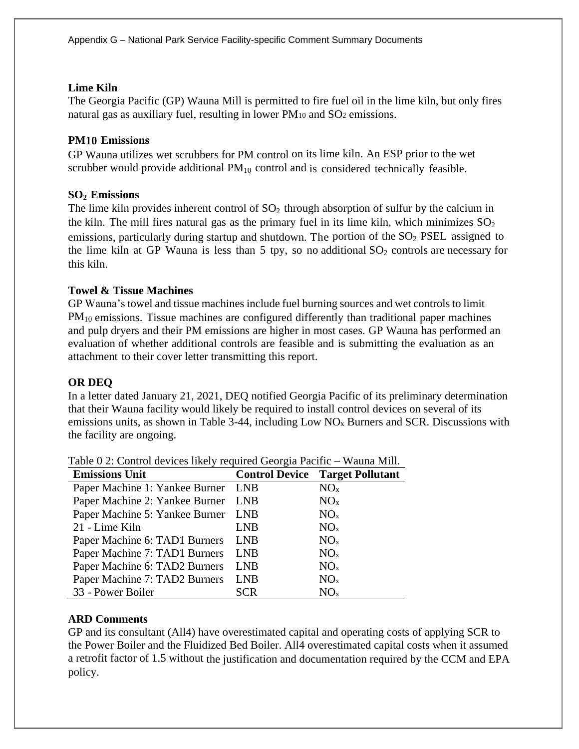# **Lime Kiln**

The Georgia Pacific (GP) Wauna Mill is permitted to fire fuel oil in the lime kiln, but only fires natural gas as auxiliary fuel, resulting in lower  $PM_{10}$  and  $SO_2$  emissions.

# **PM10 Emissions**

GP Wauna utilizes wet scrubbers for PM control on its lime kiln. An ESP prior to the wet scrubber would provide additional  $PM_{10}$  control and is considered technically feasible.

# **SO<sup>2</sup> Emissions**

The lime kiln provides inherent control of  $SO_2$  through absorption of sulfur by the calcium in the kiln. The mill fires natural gas as the primary fuel in its lime kiln, which minimizes  $SO_2$ emissions, particularly during startup and shutdown. The portion of the  $SO<sub>2</sub> PSEL$  assigned to the lime kiln at GP Wauna is less than 5 tpy, so no additional  $SO_2$  controls are necessary for this kiln.

# **Towel & Tissue Machines**

GP Wauna's towel and tissue machines include fuel burning sources and wet controls to limit PM<sub>10</sub> emissions. Tissue machines are configured differently than traditional paper machines and pulp dryers and their PM emissions are higher in most cases. GP Wauna has performed an evaluation of whether additional controls are feasible and is submitting the evaluation as an attachment to their cover letter transmitting this report.

# **OR DEQ**

In a letter dated January 21, 2021, DEQ notified Georgia Pacific of its preliminary determination that their Wauna facility would likely be required to install control devices on several of its emissions units, as shown in Table 3-44, including Low NO<sup>x</sup> Burners and SCR. Discussions with the facility are ongoing.

| <b>Emissions Unit</b>              |            | <b>Control Device Target Pollutant</b> |
|------------------------------------|------------|----------------------------------------|
| Paper Machine 1: Yankee Burner LNB |            | NO <sub>x</sub>                        |
| Paper Machine 2: Yankee Burner LNB |            | NO <sub>x</sub>                        |
| Paper Machine 5: Yankee Burner LNB |            | NO <sub>x</sub>                        |
| 21 - Lime Kiln                     | <b>LNB</b> | NO <sub>x</sub>                        |
| Paper Machine 6: TAD1 Burners      | <b>LNB</b> | NO <sub>x</sub>                        |
| Paper Machine 7: TAD1 Burners      | <b>LNB</b> | NO <sub>x</sub>                        |
| Paper Machine 6: TAD2 Burners      | <b>LNB</b> | NO <sub>x</sub>                        |
| Paper Machine 7: TAD2 Burners      | <b>LNB</b> | NO <sub>x</sub>                        |
| 33 - Power Boiler                  | SCR        | NO <sub>x</sub>                        |

Table 0 2: Control devices likely required Georgia Pacific – Wauna Mill.

# **ARD Comments**

GP and its consultant (All4) have overestimated capital and operating costs of applying SCR to the Power Boiler and the Fluidized Bed Boiler. All4 overestimated capital costs when it assumed a retrofit factor of 1.5 without the justification and documentation required by the CCM and EPA policy.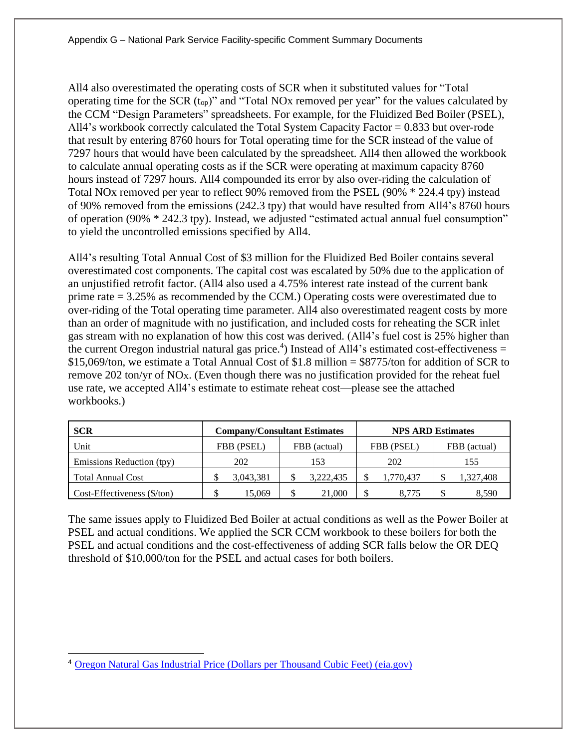All4 also overestimated the operating costs of SCR when it substituted values for "Total operating time for the SCR (top)" and "Total NOx removed per year" for the values calculated by the CCM "Design Parameters" spreadsheets. For example, for the Fluidized Bed Boiler (PSEL), All4's workbook correctly calculated the Total System Capacity Factor = 0.833 but over-rode that result by entering 8760 hours for Total operating time for the SCR instead of the value of 7297 hours that would have been calculated by the spreadsheet. All4 then allowed the workbook to calculate annual operating costs as if the SCR were operating at maximum capacity 8760 hours instead of 7297 hours. All4 compounded its error by also over-riding the calculation of Total NOx removed per year to reflect 90% removed from the PSEL (90% \* 224.4 tpy) instead of 90% removed from the emissions (242.3 tpy) that would have resulted from All4's 8760 hours of operation (90% \* 242.3 tpy). Instead, we adjusted "estimated actual annual fuel consumption" to yield the uncontrolled emissions specified by All4.

All4's resulting Total Annual Cost of \$3 million for the Fluidized Bed Boiler contains several overestimated cost components. The capital cost was escalated by 50% due to the application of an unjustified retrofit factor. (All4 also used a 4.75% interest rate instead of the current bank prime rate = 3.25% as recommended by the CCM.) Operating costs were overestimated due to over-riding of the Total operating time parameter. All4 also overestimated reagent costs by more than an order of magnitude with no justification, and included costs for reheating the SCR inlet gas stream with no explanation of how this cost was derived. (All4's fuel cost is 25% higher than the current Oregon industrial natural gas price.<sup>4</sup>) Instead of All4's estimated cost-effectiveness  $=$ \$15,069/ton, we estimate a Total Annual Cost of \$1.8 million = \$8775/ton for addition of SCR to remove 202 ton/yr of  $NO_X$ . (Even though there was no justification provided for the reheat fuel use rate, we accepted All4's estimate to estimate reheat cost—please see the attached workbooks.)

| <b>SCR</b>                            |            | <b>Company/Consultant Estimates</b> |            | <b>NPS ARD Estimates</b> |
|---------------------------------------|------------|-------------------------------------|------------|--------------------------|
| Unit                                  | FBB (PSEL) | FBB (actual)                        | FBB (PSEL) | FBB (actual)             |
| Emissions Reduction (tpy)             | 202        | 153                                 | 202        | 155                      |
| <b>Total Annual Cost</b>              | 3,043,381  | 3,222,435                           | 1,770,437  | 1,327,408                |
| $Cost\text{-}Eff$ ectiveness (\$/ton) | 15.069     | 21,000                              | S<br>8.775 | 8.590                    |

The same issues apply to Fluidized Bed Boiler at actual conditions as well as the Power Boiler at PSEL and actual conditions. We applied the SCR CCM workbook to these boilers for both the PSEL and actual conditions and the cost-effectiveness of adding SCR falls below the OR DEQ threshold of \$10,000/ton for the PSEL and actual cases for both boilers.

<sup>&</sup>lt;sup>4</sup> [Oregon Natural Gas Industrial Price \(Dollars per Thousand Cubic Feet\) \(eia.gov\)](https://www.eia.gov/dnav/ng/hist/n3035or3m.htm)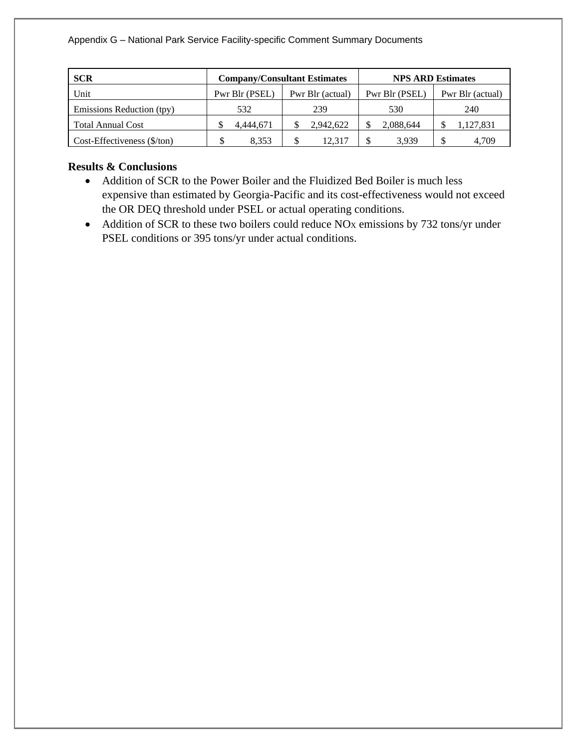| <b>SCR</b>                                           |                | <b>Company/Consultant Estimates</b> |                | <b>NPS ARD Estimates</b> |
|------------------------------------------------------|----------------|-------------------------------------|----------------|--------------------------|
| Unit                                                 | Pwr Blr (PSEL) | Pwr Blr (actual)                    | Pwr Blr (PSEL) | Pwr Blr (actual)         |
| Emissions Reduction (tpy)                            | 532            | 239                                 | 530            | 240                      |
| <b>Total Annual Cost</b>                             | 4.444.671      | 2,942,622                           | 2,088,644      | 1,127,831                |
| $Cost-Effectiveness$ ( $\frac{\sqrt{2}}{\sqrt{2}}$ ) | 8.353          | 12.317                              | 3.939          | 4.709                    |

# **Results & Conclusions**

- Addition of SCR to the Power Boiler and the Fluidized Bed Boiler is much less expensive than estimated by Georgia-Pacific and its cost-effectiveness would not exceed the OR DEQ threshold under PSEL or actual operating conditions.
- Addition of SCR to these two boilers could reduce  $NO<sub>X</sub>$  emissions by 732 tons/yr under PSEL conditions or 395 tons/yr under actual conditions.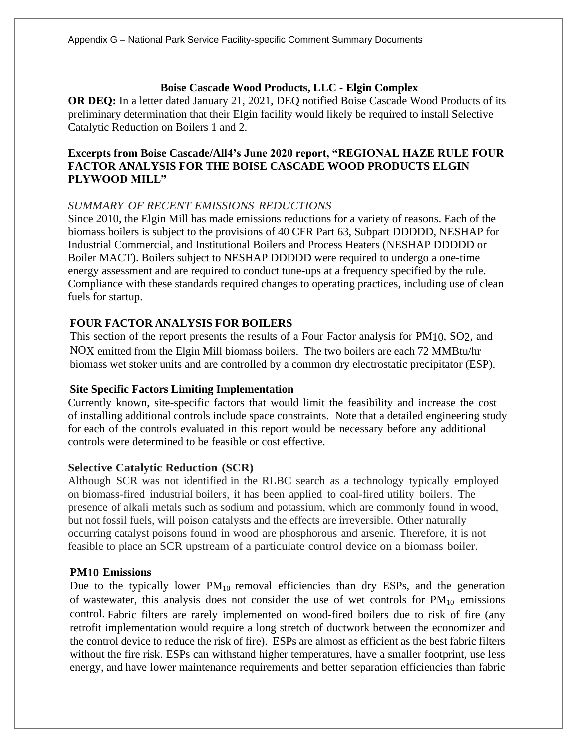# **Boise Cascade Wood Products, LLC - Elgin Complex**

**OR DEQ:** In a letter dated January 21, 2021, DEQ notified Boise Cascade Wood Products of its preliminary determination that their Elgin facility would likely be required to install Selective Catalytic Reduction on Boilers 1 and 2.

# **Excerpts from Boise Cascade/All4's June 2020 report, "REGIONAL HAZE RULE FOUR FACTOR ANALYSIS FOR THE BOISE CASCADE WOOD PRODUCTS ELGIN PLYWOOD MILL"**

# *SUMMARY OF RECENT EMISSIONS REDUCTIONS*

Since 2010, the Elgin Mill has made emissions reductions for a variety of reasons. Each of the biomass boilers is subject to the provisions of 40 CFR Part 63, Subpart DDDDD, NESHAP for Industrial Commercial, and Institutional Boilers and Process Heaters (NESHAP DDDDD or Boiler MACT). Boilers subject to NESHAP DDDDD were required to undergo a one-time energy assessment and are required to conduct tune-ups at a frequency specified by the rule. Compliance with these standards required changes to operating practices, including use of clean fuels for startup.

# **FOUR FACTOR ANALYSIS FOR BOILERS**

This section of the report presents the results of a Four Factor analysis for PM10, SO2, and NOX emitted from the Elgin Mill biomass boilers. The two boilers are each 72 MMBtu/hr biomass wet stoker units and are controlled by a common dry electrostatic precipitator (ESP).

# **Site Specific Factors Limiting Implementation**

Currently known, site-specific factors that would limit the feasibility and increase the cost of installing additional controls include space constraints. Note that a detailed engineering study for each of the controls evaluated in this report would be necessary before any additional controls were determined to be feasible or cost effective.

# **Selective Catalytic Reduction (SCR)**

Although SCR was not identified in the RLBC search as a technology typically employed on biomass-fired industrial boilers, it has been applied to coal-fired utility boilers. The presence of alkali metals such as sodium and potassium, which are commonly found in wood, but not fossil fuels, will poison catalysts and the effects are irreversible. Other naturally occurring catalyst poisons found in wood are phosphorous and arsenic. Therefore, it is not feasible to place an SCR upstream of a particulate control device on a biomass boiler.

# **PM10 Emissions**

Due to the typically lower  $PM_{10}$  removal efficiencies than dry ESPs, and the generation of wastewater, this analysis does not consider the use of wet controls for  $PM_{10}$  emissions control. Fabric filters are rarely implemented on wood-fired boilers due to risk of fire (any retrofit implementation would require a long stretch of ductwork between the economizer and the control device to reduce the risk of fire). ESPs are almost as efficient as the best fabric filters without the fire risk. ESPs can withstand higher temperatures, have a smaller footprint, use less energy, and have lower maintenance requirements and better separation efficiencies than fabric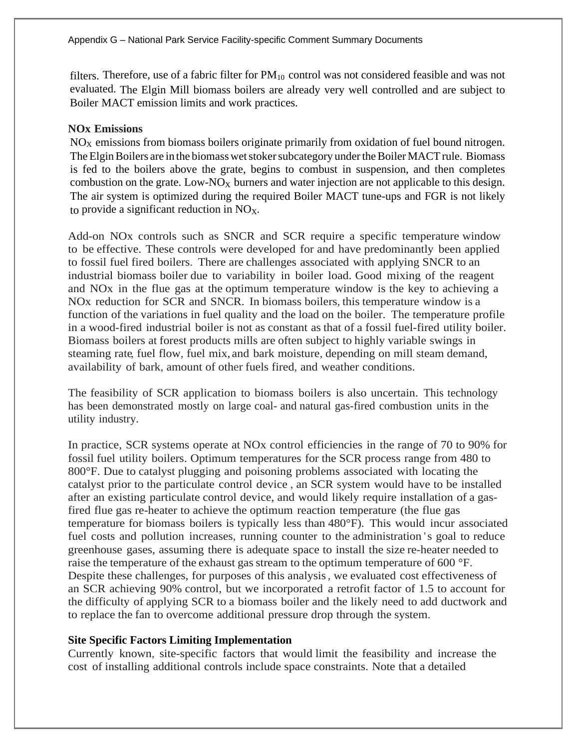filters. Therefore, use of a fabric filter for  $PM_{10}$  control was not considered feasible and was not evaluated. The Elgin Mill biomass boilers are already very well controlled and are subject to Boiler MACT emission limits and work practices.

## **NOx Emissions**

 $NO<sub>X</sub>$  emissions from biomass boilers originate primarily from oxidation of fuel bound nitrogen. The Elgin Boilers are in the biomass wet stoker subcategory under the Boiler MACT rule. Biomass is fed to the boilers above the grate, begins to combust in suspension, and then completes combustion on the grate. Low- $NO_X$  burners and water injection are not applicable to this design. The air system is optimized during the required Boiler MACT tune-ups and FGR is not likely to provide a significant reduction in  $NO<sub>x</sub>$ .

Add-on NOx controls such as SNCR and SCR require a specific temperature window to be effective. These controls were developed for and have predominantly been applied to fossil fuel fired boilers. There are challenges associated with applying SNCR to an industrial biomass boiler due to variability in boiler load. Good mixing of the reagent and NOx in the flue gas at the optimum temperature window is the key to achieving a NOx reduction for SCR and SNCR. In biomass boilers, this temperature window is a function of the variations in fuel quality and the load on the boiler. The temperature profile in a wood-fired industrial boiler is not as constant as that of a fossil fuel-fired utility boiler. Biomass boilers at forest products mills are often subject to highly variable swings in steaming rate, fuel flow, fuel mix, and bark moisture, depending on mill steam demand, availability of bark, amount of other fuels fired, and weather conditions.

The feasibility of SCR application to biomass boilers is also uncertain. This technology has been demonstrated mostly on large coal- and natural gas-fired combustion units in the utility industry.

In practice, SCR systems operate at NOx control efficiencies in the range of 70 to 90% for fossil fuel utility boilers. Optimum temperatures for the SCR process range from 480 to 800°F. Due to catalyst plugging and poisoning problems associated with locating the catalyst prior to the particulate control device , an SCR system would have to be installed after an existing particulate control device, and would likely require installation of a gasfired flue gas re-heater to achieve the optimum reaction temperature (the flue gas temperature for biomass boilers is typically less than 480°F). This would incur associated fuel costs and pollution increases, running counter to the administration 's goal to reduce greenhouse gases, assuming there is adequate space to install the size re-heater needed to raise the temperature of the exhaust gas stream to the optimum temperature of 600 °F. Despite these challenges, for purposes of this analysis, we evaluated cost effectiveness of an SCR achieving 90% control, but we incorporated a retrofit factor of 1.5 to account for the difficulty of applying SCR to a biomass boiler and the likely need to add ductwork and to replace the fan to overcome additional pressure drop through the system.

# **Site Specific Factors Limiting Implementation**

Currently known, site-specific factors that would limit the feasibility and increase the cost of installing additional controls include space constraints. Note that a detailed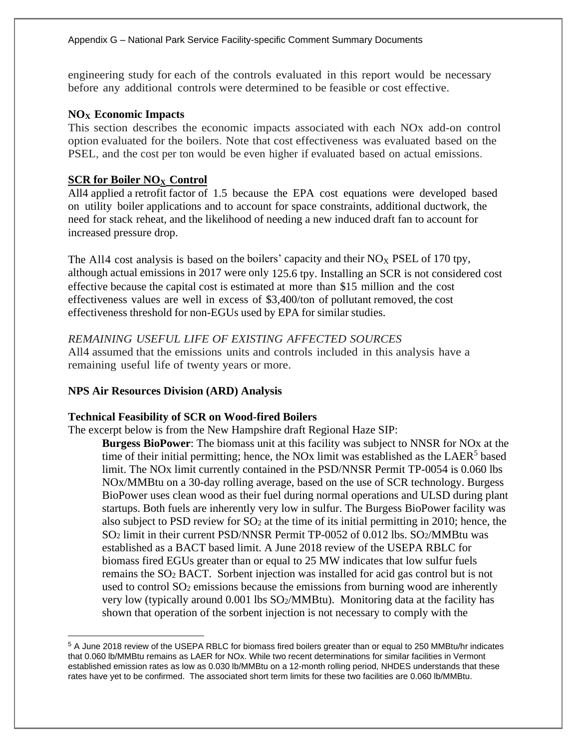engineering study for each of the controls evaluated in this report would be necessary before any additional controls were determined to be feasible or cost effective.

# **NO<sup>X</sup> Economic Impacts**

This section describes the economic impacts associated with each NOx add-on control option evaluated for the boilers. Note that cost effectiveness was evaluated based on the PSEL, and the cost per ton would be even higher if evaluated based on actual emissions.

# **SCR for Boiler NO<sup>X</sup> Control**

All4 applied a retrofit factor of 1.5 because the EPA cost equations were developed based on utility boiler applications and to account for space constraints, additional ductwork, the need for stack reheat, and the likelihood of needing a new induced draft fan to account for increased pressure drop.

The All4 cost analysis is based on the boilers' capacity and their  $NO<sub>X</sub>$  PSEL of 170 tpy, although actual emissions in 2017 were only 125.6 tpy. Installing an SCR is not considered cost effective because the capital cost is estimated at more than \$15 million and the cost effectiveness values are well in excess of \$3,400/ton of pollutant removed, the cost effectiveness threshold for non-EGUs used by EPA for similar studies.

# *REMAINING USEFUL LIFE OF EXISTING AFFECTED SOURCES*

All4 assumed that the emissions units and controls included in this analysis have a remaining useful life of twenty years or more.

# **NPS Air Resources Division (ARD) Analysis**

# **Technical Feasibility of SCR on Wood-fired Boilers**

The excerpt below is from the New Hampshire draft Regional Haze SIP:

**Burgess BioPower**: The biomass unit at this facility was subject to NNSR for NOx at the time of their initial permitting; hence, the NOx limit was established as the  $L A E R<sup>5</sup>$  based limit. The NOx limit currently contained in the PSD/NNSR Permit TP-0054 is 0.060 lbs NOx/MMBtu on a 30-day rolling average, based on the use of SCR technology. Burgess BioPower uses clean wood as their fuel during normal operations and ULSD during plant startups. Both fuels are inherently very low in sulfur. The Burgess BioPower facility was also subject to PSD review for  $SO<sub>2</sub>$  at the time of its initial permitting in 2010; hence, the SO<sup>2</sup> limit in their current PSD/NNSR Permit TP-0052 of 0.012 lbs. SO2/MMBtu was established as a BACT based limit. A June 2018 review of the USEPA RBLC for biomass fired EGUs greater than or equal to 25 MW indicates that low sulfur fuels remains the SO<sup>2</sup> BACT. Sorbent injection was installed for acid gas control but is not used to control  $SO<sub>2</sub>$  emissions because the emissions from burning wood are inherently very low (typically around  $0.001$  lbs  $SO<sub>2</sub>/MMBtu$ ). Monitoring data at the facility has shown that operation of the sorbent injection is not necessary to comply with the

<sup>5</sup> A June 2018 review of the USEPA RBLC for biomass fired boilers greater than or equal to 250 MMBtu/hr indicates that 0.060 lb/MMBtu remains as LAER for NOx. While two recent determinations for similar facilities in Vermont established emission rates as low as 0.030 lb/MMBtu on a 12-month rolling period, NHDES understands that these rates have yet to be confirmed. The associated short term limits for these two facilities are 0.060 lb/MMBtu.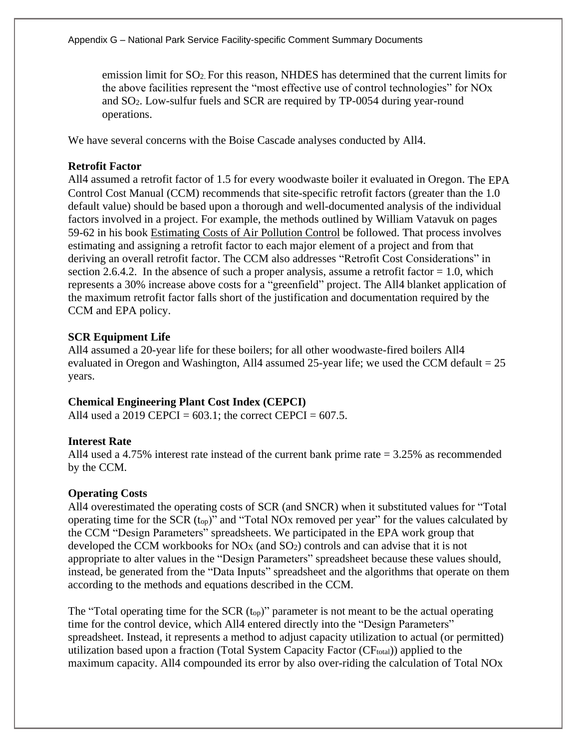emission limit for SO2. For this reason, NHDES has determined that the current limits for the above facilities represent the "most effective use of control technologies" for NOx and SO2. Low-sulfur fuels and SCR are required by TP-0054 during year-round operations.

We have several concerns with the Boise Cascade analyses conducted by All4.

## **Retrofit Factor**

All4 assumed a retrofit factor of 1.5 for every woodwaste boiler it evaluated in Oregon. The EPA Control Cost Manual (CCM) recommends that site-specific retrofit factors (greater than the 1.0 default value) should be based upon a thorough and well-documented analysis of the individual factors involved in a project. For example, the methods outlined by William Vatavuk on pages 59-62 in his book Estimating Costs of Air Pollution Control be followed. That process involves estimating and assigning a retrofit factor to each major element of a project and from that deriving an overall retrofit factor. The CCM also addresses "Retrofit Cost Considerations" in section 2.6.4.2. In the absence of such a proper analysis, assume a retrofit factor  $= 1.0$ , which represents a 30% increase above costs for a "greenfield" project. The All4 blanket application of the maximum retrofit factor falls short of the justification and documentation required by the CCM and EPA policy.

## **SCR Equipment Life**

All4 assumed a 20-year life for these boilers; for all other woodwaste-fired boilers All4 evaluated in Oregon and Washington, All4 assumed 25-year life; we used the CCM default  $= 25$ years.

#### **Chemical Engineering Plant Cost Index (CEPCI)**

All4 used a 2019 CEPCI =  $603.1$ ; the correct CEPCI =  $607.5$ .

#### **Interest Rate**

All4 used a 4.75% interest rate instead of the current bank prime rate = 3.25% as recommended by the CCM.

#### **Operating Costs**

All4 overestimated the operating costs of SCR (and SNCR) when it substituted values for "Total operating time for the SCR (top)" and "Total NOx removed per year" for the values calculated by the CCM "Design Parameters" spreadsheets. We participated in the EPA work group that developed the CCM workbooks for  $NO_X$  (and  $SO_2$ ) controls and can advise that it is not appropriate to alter values in the "Design Parameters" spreadsheet because these values should, instead, be generated from the "Data Inputs" spreadsheet and the algorithms that operate on them according to the methods and equations described in the CCM.

The "Total operating time for the SCR  $(t_{op})$ " parameter is not meant to be the actual operating time for the control device, which All4 entered directly into the "Design Parameters" spreadsheet. Instead, it represents a method to adjust capacity utilization to actual (or permitted) utilization based upon a fraction (Total System Capacity Factor (CF<sub>total</sub>)) applied to the maximum capacity. All4 compounded its error by also over-riding the calculation of Total NOx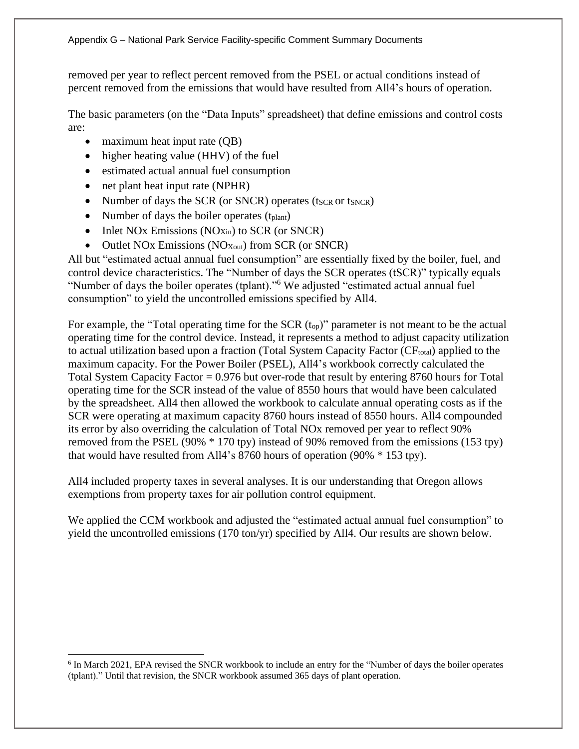removed per year to reflect percent removed from the PSEL or actual conditions instead of percent removed from the emissions that would have resulted from All4's hours of operation.

The basic parameters (on the "Data Inputs" spreadsheet) that define emissions and control costs are:

- maximum heat input rate (QB)
- higher heating value (HHV) of the fuel
- estimated actual annual fuel consumption
- net plant heat input rate (NPHR)
- Number of days the SCR (or SNCR) operates ( $t_{SCR}$  or  $t_{SNCR}$ )
- Number of days the boiler operates  $(t<sub>plant</sub>)$
- Inlet NOx Emissions  $(NO<sub>Xin</sub>)$  to SCR (or SNCR)
- Outlet NOx Emissions ( $NO_{Xout}$ ) from SCR (or SNCR)

All but "estimated actual annual fuel consumption" are essentially fixed by the boiler, fuel, and control device characteristics. The "Number of days the SCR operates (tSCR)" typically equals "Number of days the boiler operates (tplant)."<sup>6</sup> We adjusted "estimated actual annual fuel consumption" to yield the uncontrolled emissions specified by All4.

For example, the "Total operating time for the SCR (t<sub>op</sub>)" parameter is not meant to be the actual operating time for the control device. Instead, it represents a method to adjust capacity utilization to actual utilization based upon a fraction (Total System Capacity Factor  $(CF_{total})$ ) applied to the maximum capacity. For the Power Boiler (PSEL), All4's workbook correctly calculated the Total System Capacity Factor = 0.976 but over-rode that result by entering 8760 hours for Total operating time for the SCR instead of the value of 8550 hours that would have been calculated by the spreadsheet. All4 then allowed the workbook to calculate annual operating costs as if the SCR were operating at maximum capacity 8760 hours instead of 8550 hours. All4 compounded its error by also overriding the calculation of Total NOx removed per year to reflect 90% removed from the PSEL (90% \* 170 tpy) instead of 90% removed from the emissions (153 tpy) that would have resulted from All4's 8760 hours of operation (90% \* 153 tpy).

All4 included property taxes in several analyses. It is our understanding that Oregon allows exemptions from property taxes for air pollution control equipment.

We applied the CCM workbook and adjusted the "estimated actual annual fuel consumption" to yield the uncontrolled emissions (170 ton/yr) specified by All4. Our results are shown below.

<sup>&</sup>lt;sup>6</sup> In March 2021, EPA revised the SNCR workbook to include an entry for the "Number of days the boiler operates (tplant)." Until that revision, the SNCR workbook assumed 365 days of plant operation.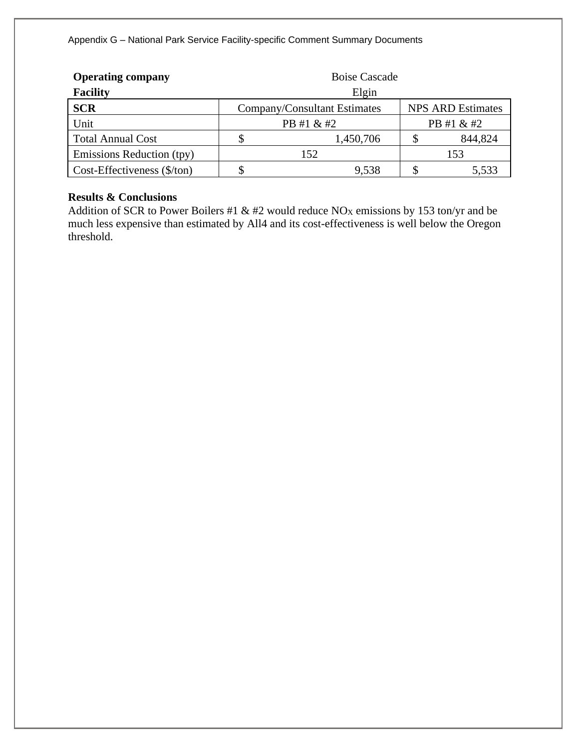| <b>Operating company</b>             | <b>Boise Cascade</b> |                              |            |                          |  |  |
|--------------------------------------|----------------------|------------------------------|------------|--------------------------|--|--|
| <b>Facility</b>                      | Elgin                |                              |            |                          |  |  |
| <b>SCR</b>                           |                      | Company/Consultant Estimates |            | <b>NPS ARD Estimates</b> |  |  |
| Unit                                 | PB #1 & #2           |                              | PB #1 & #2 |                          |  |  |
| <b>Total Annual Cost</b>             | 1,450,706            |                              |            | 844,824                  |  |  |
| Emissions Reduction (tpy)            | 152                  |                              |            | 153                      |  |  |
| Cost-Effectiveness $(\frac{5}{ton})$ |                      | 9.538                        |            | 5,533                    |  |  |

# **Results & Conclusions**

Addition of SCR to Power Boilers #1 & #2 would reduce NO<sub>X</sub> emissions by 153 ton/yr and be much less expensive than estimated by All4 and its cost-effectiveness is well below the Oregon threshold.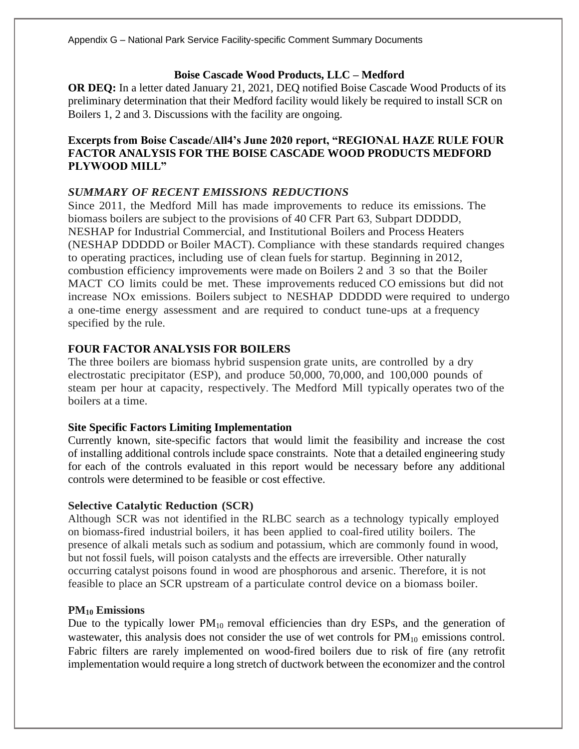# **Boise Cascade Wood Products, LLC – Medford**

**OR DEQ:** In a letter dated January 21, 2021, DEQ notified Boise Cascade Wood Products of its preliminary determination that their Medford facility would likely be required to install SCR on Boilers 1, 2 and 3. Discussions with the facility are ongoing.

# **Excerpts from Boise Cascade/All4's June 2020 report, "REGIONAL HAZE RULE FOUR FACTOR ANALYSIS FOR THE BOISE CASCADE WOOD PRODUCTS MEDFORD PLYWOOD MILL"**

# *SUMMARY OF RECENT EMISSIONS REDUCTIONS*

Since 2011, the Medford Mill has made improvements to reduce its emissions. The biomass boilers are subject to the provisions of 40 CFR Part 63, Subpart DDDDD, NESHAP for Industrial Commercial, and Institutional Boilers and Process Heaters (NESHAP DDDDD or Boiler MACT). Compliance with these standards required changes to operating practices, including use of clean fuels for startup. Beginning in 2012, combustion efficiency improvements were made on Boilers 2 and 3 so that the Boiler MACT CO limits could be met. These improvements reduced CO emissions but did not increase NOx emissions. Boilers subject to NESHAP DDDDD were required to undergo a one-time energy assessment and are required to conduct tune-ups at a frequency specified by the rule.

## **FOUR FACTOR ANALYSIS FOR BOILERS**

The three boilers are biomass hybrid suspension grate units, are controlled by a dry electrostatic precipitator (ESP), and produce 50,000, 70,000, and 100,000 pounds of steam per hour at capacity, respectively. The Medford Mill typically operates two of the boilers at a time.

#### **Site Specific Factors Limiting Implementation**

Currently known, site-specific factors that would limit the feasibility and increase the cost of installing additional controls include space constraints. Note that a detailed engineering study for each of the controls evaluated in this report would be necessary before any additional controls were determined to be feasible or cost effective.

#### **Selective Catalytic Reduction (SCR)**

Although SCR was not identified in the RLBC search as a technology typically employed on biomass-fired industrial boilers, it has been applied to coal-fired utility boilers. The presence of alkali metals such as sodium and potassium, which are commonly found in wood, but not fossil fuels, will poison catalysts and the effects are irreversible. Other naturally occurring catalyst poisons found in wood are phosphorous and arsenic. Therefore, it is not feasible to place an SCR upstream of a particulate control device on a biomass boiler.

#### **PM<sup>10</sup> Emissions**

Due to the typically lower  $PM_{10}$  removal efficiencies than dry ESPs, and the generation of wastewater, this analysis does not consider the use of wet controls for  $PM_{10}$  emissions control. Fabric filters are rarely implemented on wood-fired boilers due to risk of fire (any retrofit implementation would require a long stretch of ductwork between the economizer and the control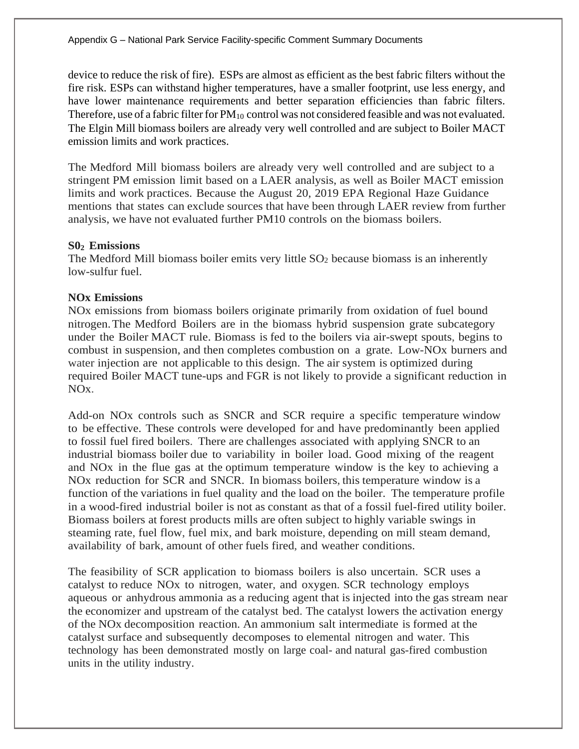device to reduce the risk of fire). ESPs are almost as efficient as the best fabric filters without the fire risk. ESPs can withstand higher temperatures, have a smaller footprint, use less energy, and have lower maintenance requirements and better separation efficiencies than fabric filters. Therefore, use of a fabric filter for  $PM_{10}$  control was not considered feasible and was not evaluated. The Elgin Mill biomass boilers are already very well controlled and are subject to Boiler MACT emission limits and work practices.

The Medford Mill biomass boilers are already very well controlled and are subject to a stringent PM emission limit based on a LAER analysis, as well as Boiler MACT emission limits and work practices. Because the August 20, 2019 EPA Regional Haze Guidance mentions that states can exclude sources that have been through LAER review from further analysis, we have not evaluated further PM10 controls on the biomass boilers.

## **S0<sup>2</sup> Emissions**

The Medford Mill biomass boiler emits very little  $SO<sub>2</sub>$  because biomass is an inherently low-sulfur fuel.

# **NOx Emissions**

NOx emissions from biomass boilers originate primarily from oxidation of fuel bound nitrogen.The Medford Boilers are in the biomass hybrid suspension grate subcategory under the Boiler MACT rule. Biomass is fed to the boilers via air-swept spouts, begins to combust in suspension, and then completes combustion on a grate. Low-NOx burners and water injection are not applicable to this design. The air system is optimized during required Boiler MACT tune-ups and FGR is not likely to provide a significant reduction in NOx.

Add-on NOx controls such as SNCR and SCR require a specific temperature window to be effective. These controls were developed for and have predominantly been applied to fossil fuel fired boilers. There are challenges associated with applying SNCR to an industrial biomass boiler due to variability in boiler load. Good mixing of the reagent and NOx in the flue gas at the optimum temperature window is the key to achieving a NOx reduction for SCR and SNCR. In biomass boilers, this temperature window is a function of the variations in fuel quality and the load on the boiler. The temperature profile in a wood-fired industrial boiler is not as constant as that of a fossil fuel-fired utility boiler. Biomass boilers at forest products mills are often subject to highly variable swings in steaming rate, fuel flow, fuel mix, and bark moisture, depending on mill steam demand, availability of bark, amount of other fuels fired, and weather conditions.

The feasibility of SCR application to biomass boilers is also uncertain. SCR uses a catalyst to reduce NOx to nitrogen, water, and oxygen. SCR technology employs aqueous or anhydrous ammonia as a reducing agent that is injected into the gas stream near the economizer and upstream of the catalyst bed. The catalyst lowers the activation energy of the NOx decomposition reaction. An ammonium salt intermediate is formed at the catalyst surface and subsequently decomposes to elemental nitrogen and water. This technology has been demonstrated mostly on large coal- and natural gas-fired combustion units in the utility industry.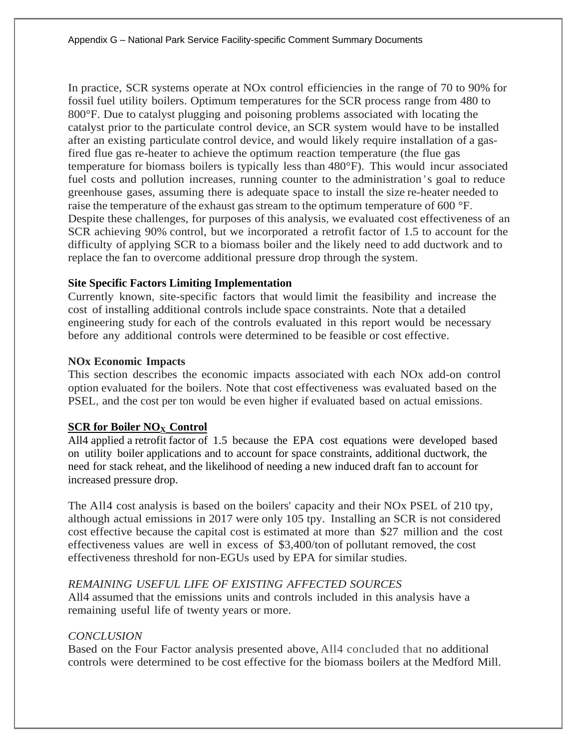In practice, SCR systems operate at NOx control efficiencies in the range of 70 to 90% for fossil fuel utility boilers. Optimum temperatures for the SCR process range from 480 to 800°F. Due to catalyst plugging and poisoning problems associated with locating the catalyst prior to the particulate control device, an SCR system would have to be installed after an existing particulate control device, and would likely require installation of a gasfired flue gas re-heater to achieve the optimum reaction temperature (the flue gas temperature for biomass boilers is typically less than 480°F). This would incur associated fuel costs and pollution increases, running counter to the administration 's goal to reduce greenhouse gases, assuming there is adequate space to install the size re-heater needed to raise the temperature of the exhaust gas stream to the optimum temperature of 600 °F. Despite these challenges, for purposes of this analysis, we evaluated cost effectiveness of an SCR achieving 90% control, but we incorporated a retrofit factor of 1.5 to account for the difficulty of applying SCR to a biomass boiler and the likely need to add ductwork and to replace the fan to overcome additional pressure drop through the system.

# **Site Specific Factors Limiting Implementation**

Currently known, site-specific factors that would limit the feasibility and increase the cost of installing additional controls include space constraints. Note that a detailed engineering study for each of the controls evaluated in this report would be necessary before any additional controls were determined to be feasible or cost effective.

# **NOx Economic Impacts**

This section describes the economic impacts associated with each NOx add-on control option evaluated for the boilers. Note that cost effectiveness was evaluated based on the PSEL, and the cost per ton would be even higher if evaluated based on actual emissions.

# **SCR for Boiler NO<sup>X</sup> Control**

All4 applied a retrofit factor of 1.5 because the EPA cost equations were developed based on utility boiler applications and to account for space constraints, additional ductwork, the need for stack reheat, and the likelihood of needing a new induced draft fan to account for increased pressure drop.

The All4 cost analysis is based on the boilers' capacity and their NOx PSEL of 210 tpy, although actual emissions in 2017 were only 105 tpy. Installing an SCR is not considered cost effective because the capital cost is estimated at more than \$27 million and the cost effectiveness values are well in excess of \$3,400/ton of pollutant removed, the cost effectiveness threshold for non-EGUs used by EPA for similar studies.

# *REMAINING USEFUL LIFE OF EXISTING AFFECTED SOURCES*

All4 assumed that the emissions units and controls included in this analysis have a remaining useful life of twenty years or more.

# *CONCLUSION*

Based on the Four Factor analysis presented above, All4 concluded that no additional controls were determined to be cost effective for the biomass boilers at the Medford Mill.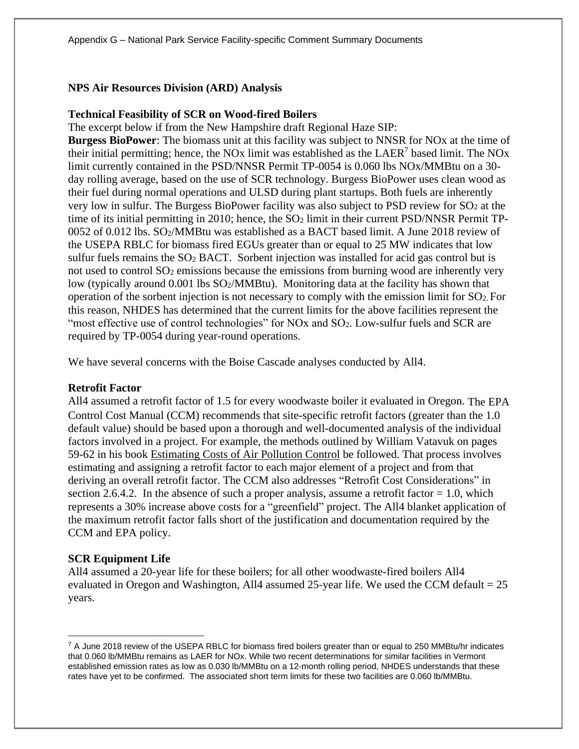#### **NPS Air Resources Division (ARD) Analysis**

#### **Technical Feasibility of SCR on Wood-fired Boilers**

The excerpt below if from the New Hampshire draft Regional Haze SIP:

**Burgess BioPower**: The biomass unit at this facility was subject to NNSR for NOx at the time of their initial permitting; hence, the NOx limit was established as the  $LAER<sup>7</sup>$  based limit. The NOx limit currently contained in the PSD/NNSR Permit TP-0054 is 0.060 lbs NOx/MMBtu on a 30 day rolling average, based on the use of SCR technology. Burgess BioPower uses clean wood as their fuel during normal operations and ULSD during plant startups. Both fuels are inherently very low in sulfur. The Burgess BioPower facility was also subject to PSD review for SO<sup>2</sup> at the time of its initial permitting in 2010; hence, the SO<sub>2</sub> limit in their current PSD/NNSR Permit TP-0052 of 0.012 lbs. SO2/MMBtu was established as a BACT based limit. A June 2018 review of the USEPA RBLC for biomass fired EGUs greater than or equal to 25 MW indicates that low sulfur fuels remains the SO<sup>2</sup> BACT. Sorbent injection was installed for acid gas control but is not used to control SO<sup>2</sup> emissions because the emissions from burning wood are inherently very low (typically around 0.001 lbs SO2/MMBtu). Monitoring data at the facility has shown that operation of the sorbent injection is not necessary to comply with the emission limit for SO2. For this reason, NHDES has determined that the current limits for the above facilities represent the "most effective use of control technologies" for NOx and SO<sub>2</sub>. Low-sulfur fuels and SCR are required by TP-0054 during year-round operations.

We have several concerns with the Boise Cascade analyses conducted by All4.

#### **Retrofit Factor**

All4 assumed a retrofit factor of 1.5 for every woodwaste boiler it evaluated in Oregon. The EPA Control Cost Manual (CCM) recommends that site-specific retrofit factors (greater than the 1.0 default value) should be based upon a thorough and well-documented analysis of the individual factors involved in a project. For example, the methods outlined by William Vatavuk on pages 59-62 in his book Estimating Costs of Air Pollution Control be followed. That process involves estimating and assigning a retrofit factor to each major element of a project and from that deriving an overall retrofit factor. The CCM also addresses "Retrofit Cost Considerations" in section 2.6.4.2. In the absence of such a proper analysis, assume a retrofit factor  $= 1.0$ , which represents a 30% increase above costs for a "greenfield" project. The All4 blanket application of the maximum retrofit factor falls short of the justification and documentation required by the CCM and EPA policy.

#### **SCR Equipment Life**

All4 assumed a 20-year life for these boilers; for all other woodwaste-fired boilers All4 evaluated in Oregon and Washington, All4 assumed 25-year life. We used the CCM default  $= 25$ years.

<sup>&</sup>lt;sup>7</sup> A June 2018 review of the USEPA RBLC for biomass fired boilers greater than or equal to 250 MMBtu/hr indicates that 0.060 lb/MMBtu remains as LAER for NOx. While two recent determinations for similar facilities in Vermont established emission rates as low as 0.030 lb/MMBtu on a 12-month rolling period, NHDES understands that these rates have yet to be confirmed. The associated short term limits for these two facilities are 0.060 lb/MMBtu.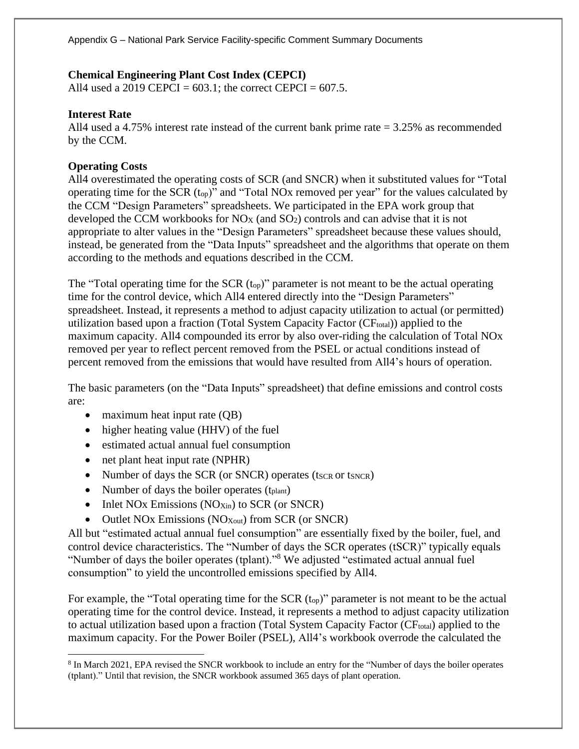# **Chemical Engineering Plant Cost Index (CEPCI)**

All4 used a 2019 CEPCI =  $603.1$ ; the correct CEPCI =  $607.5$ .

# **Interest Rate**

All4 used a 4.75% interest rate instead of the current bank prime rate = 3.25% as recommended by the CCM.

# **Operating Costs**

All4 overestimated the operating costs of SCR (and SNCR) when it substituted values for "Total operating time for the SCR (top)" and "Total NOx removed per year" for the values calculated by the CCM "Design Parameters" spreadsheets. We participated in the EPA work group that developed the CCM workbooks for NO<sup>X</sup> (and SO2) controls and can advise that it is not appropriate to alter values in the "Design Parameters" spreadsheet because these values should, instead, be generated from the "Data Inputs" spreadsheet and the algorithms that operate on them according to the methods and equations described in the CCM.

The "Total operating time for the SCR  $(t_{op})$ " parameter is not meant to be the actual operating time for the control device, which All4 entered directly into the "Design Parameters" spreadsheet. Instead, it represents a method to adjust capacity utilization to actual (or permitted) utilization based upon a fraction (Total System Capacity Factor (CF<sub>total</sub>)) applied to the maximum capacity. All4 compounded its error by also over-riding the calculation of Total NOx removed per year to reflect percent removed from the PSEL or actual conditions instead of percent removed from the emissions that would have resulted from All4's hours of operation.

The basic parameters (on the "Data Inputs" spreadsheet) that define emissions and control costs are:

- maximum heat input rate (QB)
- higher heating value (HHV) of the fuel
- estimated actual annual fuel consumption
- net plant heat input rate (NPHR)
- Number of days the SCR (or SNCR) operates  $(t_{SCR}$  or  $t_{SNCR})$
- Number of days the boiler operates (t<sub>plant</sub>)
- Inlet NOx Emissions  $(NO<sub>Xin</sub>)$  to SCR (or SNCR)
- Outlet NOx Emissions (NO<sub>Xout</sub>) from SCR (or SNCR)

All but "estimated actual annual fuel consumption" are essentially fixed by the boiler, fuel, and control device characteristics. The "Number of days the SCR operates (tSCR)" typically equals "Number of days the boiler operates (tplant)."<sup>8</sup> We adjusted "estimated actual annual fuel consumption" to yield the uncontrolled emissions specified by All4.

For example, the "Total operating time for the SCR (t<sub>op</sub>)" parameter is not meant to be the actual operating time for the control device. Instead, it represents a method to adjust capacity utilization to actual utilization based upon a fraction (Total System Capacity Factor  $(CF_{total})$ ) applied to the maximum capacity. For the Power Boiler (PSEL), All4's workbook overrode the calculated the

<sup>&</sup>lt;sup>8</sup> In March 2021, EPA revised the SNCR workbook to include an entry for the "Number of days the boiler operates (tplant)." Until that revision, the SNCR workbook assumed 365 days of plant operation.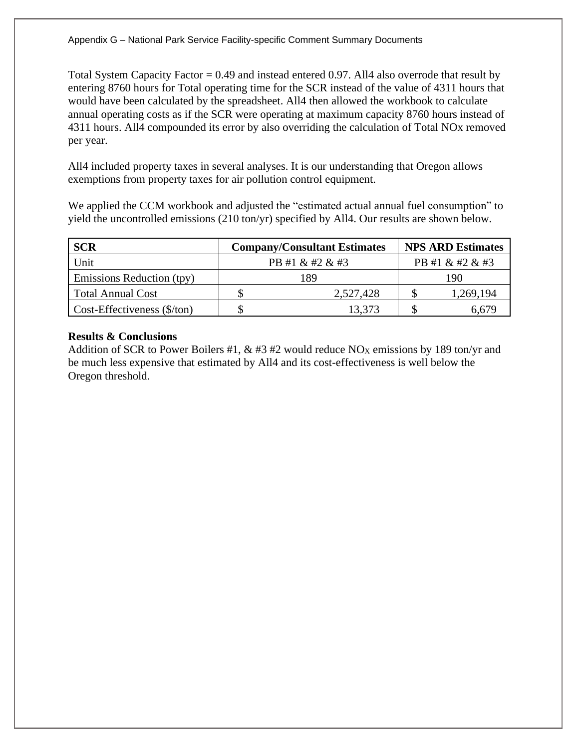Total System Capacity Factor  $= 0.49$  and instead entered 0.97. All4 also overrode that result by entering 8760 hours for Total operating time for the SCR instead of the value of 4311 hours that would have been calculated by the spreadsheet. All4 then allowed the workbook to calculate annual operating costs as if the SCR were operating at maximum capacity 8760 hours instead of 4311 hours. All4 compounded its error by also overriding the calculation of Total NOx removed per year.

All4 included property taxes in several analyses. It is our understanding that Oregon allows exemptions from property taxes for air pollution control equipment.

We applied the CCM workbook and adjusted the "estimated actual annual fuel consumption" to yield the uncontrolled emissions (210 ton/yr) specified by All4. Our results are shown below.

| <b>SCR</b>                           |                 | <b>Company/Consultant Estimates</b> |  | <b>NPS ARD Estimates</b> |
|--------------------------------------|-----------------|-------------------------------------|--|--------------------------|
| Unit                                 | PB #1 & #2 & #3 |                                     |  | PB #1 & #2 & #3          |
| Emissions Reduction (tpy)            | 189             |                                     |  | 190                      |
| <b>Total Annual Cost</b>             |                 | 2,527,428                           |  | 1,269,194                |
| Cost-Effectiveness $(\frac{5}{ton})$ |                 | 13,373                              |  | 6.679                    |

# **Results & Conclusions**

Addition of SCR to Power Boilers #1,  $\&$  #3 #2 would reduce NO<sub>X</sub> emissions by 189 ton/yr and be much less expensive that estimated by All4 and its cost-effectiveness is well below the Oregon threshold.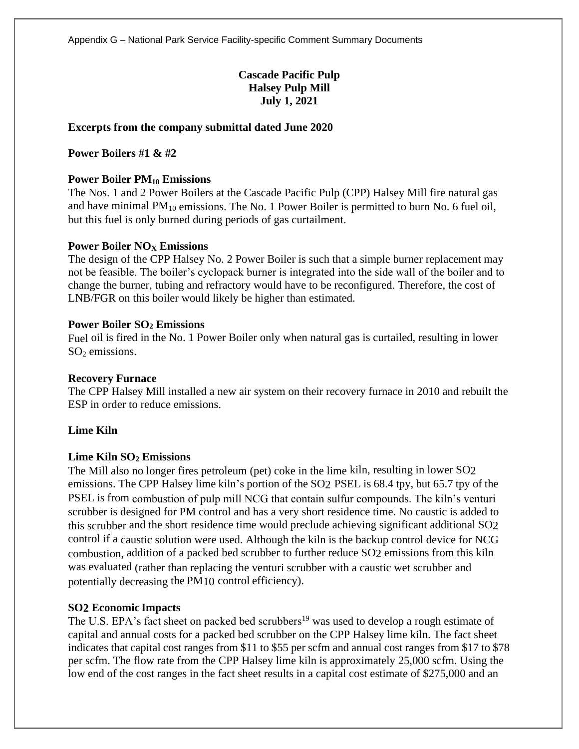# **Cascade Pacific Pulp Halsey Pulp Mill July 1, 2021**

## **Excerpts from the company submittal dated June 2020**

## **Power Boilers #1 & #2**

#### **Power Boiler PM<sup>10</sup> Emissions**

The Nos. 1 and 2 Power Boilers at the Cascade Pacific Pulp (CPP) Halsey Mill fire natural gas and have minimal  $PM_{10}$  emissions. The No. 1 Power Boiler is permitted to burn No. 6 fuel oil, but this fuel is only burned during periods of gas curtailment.

#### **Power Boiler NO<sup>X</sup> Emissions**

The design of the CPP Halsey No. 2 Power Boiler is such that a simple burner replacement may not be feasible. The boiler's cyclopack burner is integrated into the side wall of the boiler and to change the burner, tubing and refractory would have to be reconfigured. Therefore, the cost of LNB/FGR on this boiler would likely be higher than estimated.

#### **Power Boiler SO<sup>2</sup> Emissions**

Fuel oil is fired in the No. 1 Power Boiler only when natural gas is curtailed, resulting in lower  $SO<sub>2</sub>$  emissions.

#### **Recovery Furnace**

The CPP Halsey Mill installed a new air system on their recovery furnace in 2010 and rebuilt the ESP in order to reduce emissions.

# **Lime Kiln**

#### **Lime Kiln SO<sup>2</sup> Emissions**

The Mill also no longer fires petroleum (pet) coke in the lime kiln, resulting in lower SO2 emissions. The CPP Halsey lime kiln's portion of the SO2 PSEL is 68.4 tpy, but 65.7 tpy of the PSEL is from combustion of pulp mill NCG that contain sulfur compounds. The kiln's venturi scrubber is designed for PM control and has a very short residence time. No caustic is added to this scrubber and the short residence time would preclude achieving significant additional SO2 control if a caustic solution were used. Although the kiln is the backup control device for NCG combustion, addition of a packed bed scrubber to further reduce SO2 emissions from this kiln was evaluated (rather than replacing the venturi scrubber with a caustic wet scrubber and potentially decreasing the PM10 control efficiency).

#### **SO2 Economic Impacts**

The U.S. EPA's fact sheet on packed bed scrubbers<sup>19</sup> was used to develop a rough estimate of capital and annual costs for a packed bed scrubber on the CPP Halsey lime kiln. The fact sheet indicates that capital cost ranges from \$11 to \$55 per scfm and annual cost ranges from \$17 to \$78 per scfm. The flow rate from the CPP Halsey lime kiln is approximately 25,000 scfm. Using the low end of the cost ranges in the fact sheet results in a capital cost estimate of \$275,000 and an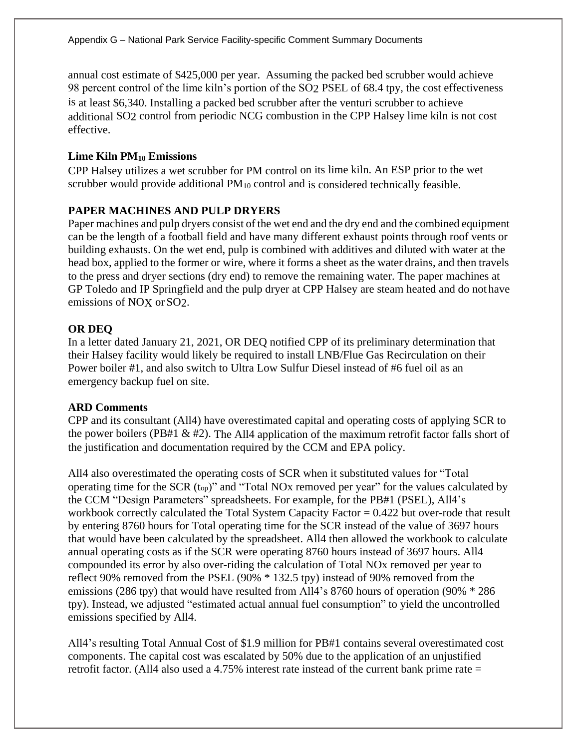annual cost estimate of \$425,000 per year. Assuming the packed bed scrubber would achieve 98 percent control of the lime kiln's portion of the SO2 PSEL of 68.4 tpy, the cost effectiveness is at least \$6,340. Installing a packed bed scrubber after the venturi scrubber to achieve additional SO2 control from periodic NCG combustion in the CPP Halsey lime kiln is not cost effective.

# **Lime Kiln PM<sup>10</sup> Emissions**

CPP Halsey utilizes a wet scrubber for PM control on its lime kiln. An ESP prior to the wet scrubber would provide additional  $PM_{10}$  control and is considered technically feasible.

# **PAPER MACHINES AND PULP DRYERS**

Paper machines and pulp dryers consist of the wet end and the dry end and the combined equipment can be the length of a football field and have many different exhaust points through roof vents or building exhausts. On the wet end, pulp is combined with additives and diluted with water at the head box, applied to the former or wire, where it forms a sheet as the water drains, and then travels to the press and dryer sections (dry end) to remove the remaining water. The paper machines at GP Toledo and IP Springfield and the pulp dryer at CPP Halsey are steam heated and do not have emissions of NOX or SO2.

## **OR DEQ**

In a letter dated January 21, 2021, OR DEQ notified CPP of its preliminary determination that their Halsey facility would likely be required to install LNB/Flue Gas Recirculation on their Power boiler #1, and also switch to Ultra Low Sulfur Diesel instead of #6 fuel oil as an emergency backup fuel on site.

#### **ARD Comments**

CPP and its consultant (All4) have overestimated capital and operating costs of applying SCR to the power boilers (PB#1 & #2). The All4 application of the maximum retrofit factor falls short of the justification and documentation required by the CCM and EPA policy.

All4 also overestimated the operating costs of SCR when it substituted values for "Total operating time for the SCR (top)" and "Total NOx removed per year" for the values calculated by the CCM "Design Parameters" spreadsheets. For example, for the PB#1 (PSEL), All4's workbook correctly calculated the Total System Capacity Factor = 0.422 but over-rode that result by entering 8760 hours for Total operating time for the SCR instead of the value of 3697 hours that would have been calculated by the spreadsheet. All4 then allowed the workbook to calculate annual operating costs as if the SCR were operating 8760 hours instead of 3697 hours. All4 compounded its error by also over-riding the calculation of Total NOx removed per year to reflect 90% removed from the PSEL (90% \* 132.5 tpy) instead of 90% removed from the emissions (286 tpy) that would have resulted from All4's 8760 hours of operation (90% \* 286 tpy). Instead, we adjusted "estimated actual annual fuel consumption" to yield the uncontrolled emissions specified by All4.

All4's resulting Total Annual Cost of \$1.9 million for PB#1 contains several overestimated cost components. The capital cost was escalated by 50% due to the application of an unjustified retrofit factor. (All4 also used a 4.75% interest rate instead of the current bank prime rate =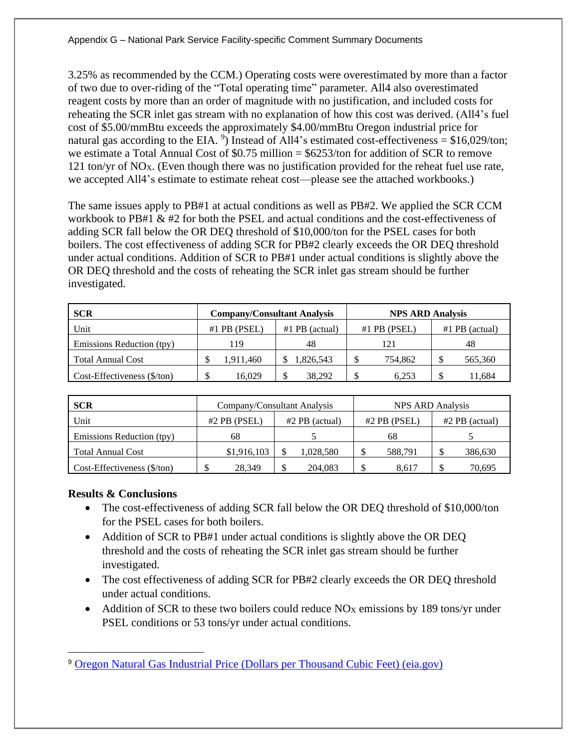3.25% as recommended by the CCM.) Operating costs were overestimated by more than a factor of two due to over-riding of the "Total operating time" parameter. All4 also overestimated reagent costs by more than an order of magnitude with no justification, and included costs for reheating the SCR inlet gas stream with no explanation of how this cost was derived. (All4's fuel cost of \$5.00/mmBtu exceeds the approximately \$4.00/mmBtu Oregon industrial price for natural gas according to the EIA.  $\degree$ ) Instead of All4's estimated cost-effectiveness = \$16,029/ton; we estimate a Total Annual Cost of \$0.75 million = \$6253/ton for addition of SCR to remove 121 ton/yr of NO<sub>X</sub>. (Even though there was no justification provided for the reheat fuel use rate, we accepted All4's estimate to estimate reheat cost—please see the attached workbooks.)

The same issues apply to PB#1 at actual conditions as well as PB#2. We applied the SCR CCM workbook to PB#1 & #2 for both the PSEL and actual conditions and the cost-effectiveness of adding SCR fall below the OR DEQ threshold of \$10,000/ton for the PSEL cases for both boilers. The cost effectiveness of adding SCR for PB#2 clearly exceeds the OR DEQ threshold under actual conditions. Addition of SCR to PB#1 under actual conditions is slightly above the OR DEQ threshold and the costs of reheating the SCR inlet gas stream should be further investigated.

| <b>SCR</b>                           | <b>Company/Consultant Analysis</b> |                  | <b>NPS ARD Analysis</b> |                  |
|--------------------------------------|------------------------------------|------------------|-------------------------|------------------|
| Unit                                 | $#1$ PB (PSEL)                     | $#1$ PB (actual) | $#1$ PB (PSEL)          | $#1$ PB (actual) |
| Emissions Reduction (tpy)            | 119                                | 48               | 121                     | 48               |
| <b>Total Annual Cost</b>             | 1,911,460                          | 1,826,543        | 754,862                 | 565,360          |
| Cost-Effectiveness $(\frac{5}{ton})$ | 16.029                             | 38.292<br>◡      | 6.253                   | 11.684           |

| <b>SCR</b>                  |                | Company/Consultant Analysis | NPS ARD Analysis |                  |  |
|-----------------------------|----------------|-----------------------------|------------------|------------------|--|
| Unit                        | $#2$ PB (PSEL) | $#2$ PB (actual)            | $#2$ PB (PSEL)   | $#2$ PB (actual) |  |
| Emissions Reduction (tpy)   | 68             |                             | 68               |                  |  |
| <b>Total Annual Cost</b>    | \$1,916,103    | 1,028,580                   | 588,791          | 386,630          |  |
| Cost-Effectiveness (\$/ton) | 28.349         | S<br>204,083                | 8.617            | 70,695           |  |

# **Results & Conclusions**

- The cost-effectiveness of adding SCR fall below the OR DEQ threshold of \$10,000/ton for the PSEL cases for both boilers.
- Addition of SCR to PB#1 under actual conditions is slightly above the OR DEQ threshold and the costs of reheating the SCR inlet gas stream should be further investigated.
- The cost effectiveness of adding SCR for PB#2 clearly exceeds the OR DEQ threshold under actual conditions.
- Addition of SCR to these two boilers could reduce  $N_{\text{Ox}}$  emissions by 189 tons/yr under PSEL conditions or 53 tons/yr under actual conditions.

<sup>9</sup> [Oregon Natural Gas Industrial Price \(Dollars per Thousand Cubic Feet\) \(eia.gov\)](https://www.eia.gov/dnav/ng/hist/n3035or3m.htm)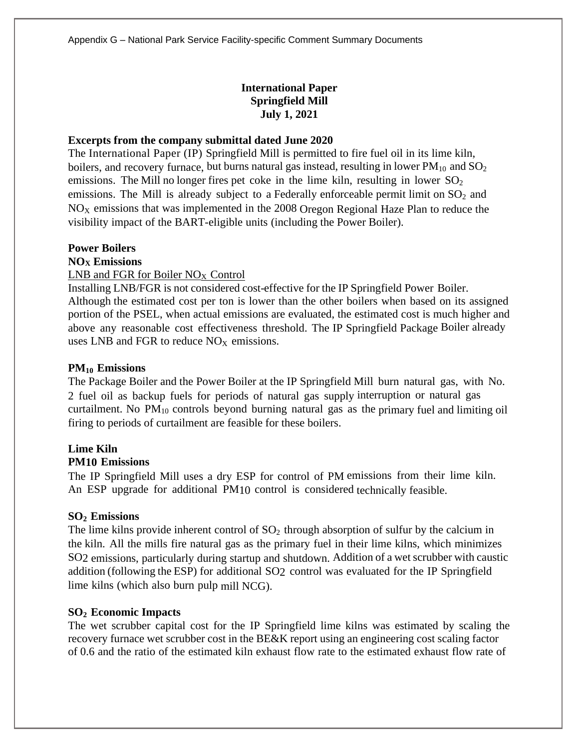# **International Paper Springfield Mill July 1, 2021**

## **Excerpts from the company submittal dated June 2020**

The International Paper (IP) Springfield Mill is permitted to fire fuel oil in its lime kiln, boilers, and recovery furnace, but burns natural gas instead, resulting in lower  $PM_{10}$  and  $SO_2$ emissions. The Mill no longer fires pet coke in the lime kiln, resulting in lower  $SO_2$ emissions. The Mill is already subject to a Federally enforceable permit limit on  $SO_2$  and  $NO<sub>X</sub>$  emissions that was implemented in the 2008 Oregon Regional Haze Plan to reduce the visibility impact of the BART-eligible units (including the Power Boiler).

#### **Power Boilers**

#### **NO<sup>X</sup> Emissions**

## LNB and FGR for Boiler NO<sub>X</sub> Control

Installing LNB/FGR is not considered cost-effective for the IP Springfield Power Boiler. Although the estimated cost per ton is lower than the other boilers when based on its assigned portion of the PSEL, when actual emissions are evaluated, the estimated cost is much higher and above any reasonable cost effectiveness threshold. The IP Springfield Package Boiler already uses LNB and FGR to reduce  $NO<sub>x</sub>$  emissions.

## **PM<sup>10</sup> Emissions**

The Package Boiler and the Power Boiler at the IP Springfield Mill burn natural gas, with No. 2 fuel oil as backup fuels for periods of natural gas supply interruption or natural gas curtailment. No  $PM_{10}$  controls beyond burning natural gas as the primary fuel and limiting oil firing to periods of curtailment are feasible for these boilers.

# **Lime Kiln**

# **PM10 Emissions**

The IP Springfield Mill uses a dry ESP for control of PM emissions from their lime kiln. An ESP upgrade for additional PM10 control is considered technically feasible.

# **SO<sup>2</sup> Emissions**

The lime kilns provide inherent control of  $SO_2$  through absorption of sulfur by the calcium in the kiln. All the mills fire natural gas as the primary fuel in their lime kilns, which minimizes SO2 emissions, particularly during startup and shutdown. Addition of a wet scrubber with caustic addition (following the ESP) for additional SO2 control was evaluated for the IP Springfield lime kilns (which also burn pulp mill NCG).

# **SO<sup>2</sup> Economic Impacts**

The wet scrubber capital cost for the IP Springfield lime kilns was estimated by scaling the recovery furnace wet scrubber cost in the BE&K report using an engineering cost scaling factor of 0.6 and the ratio of the estimated kiln exhaust flow rate to the estimated exhaust flow rate of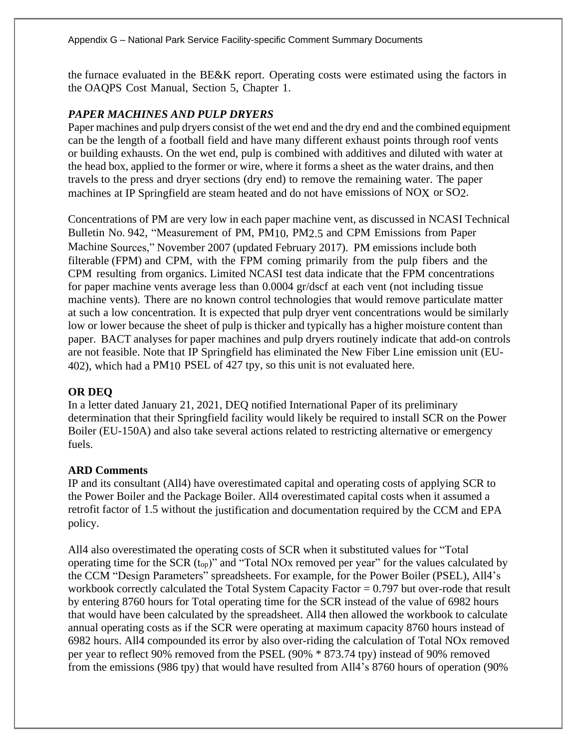the furnace evaluated in the BE&K report. Operating costs were estimated using the factors in the OAQPS Cost Manual, Section 5, Chapter 1.

# *PAPER MACHINES AND PULP DRYERS*

Paper machines and pulp dryers consist of the wet end and the dry end and the combined equipment can be the length of a football field and have many different exhaust points through roof vents or building exhausts. On the wet end, pulp is combined with additives and diluted with water at the head box, applied to the former or wire, where it forms a sheet as the water drains, and then travels to the press and dryer sections (dry end) to remove the remaining water. The paper machines at IP Springfield are steam heated and do not have emissions of NOX or SO2.

Concentrations of PM are very low in each paper machine vent, as discussed in NCASI Technical Bulletin No. 942, "Measurement of PM, PM10, PM2.5 and CPM Emissions from Paper Machine Sources," November 2007 (updated February 2017). PM emissions include both filterable (FPM) and CPM, with the FPM coming primarily from the pulp fibers and the CPM resulting from organics. Limited NCASI test data indicate that the FPM concentrations for paper machine vents average less than 0.0004 gr/dscf at each vent (not including tissue machine vents). There are no known control technologies that would remove particulate matter at such a low concentration. It is expected that pulp dryer vent concentrations would be similarly low or lower because the sheet of pulp is thicker and typically has a higher moisture content than paper. BACT analyses for paper machines and pulp dryers routinely indicate that add-on controls are not feasible. Note that IP Springfield has eliminated the New Fiber Line emission unit (EU-402), which had a PM10 PSEL of 427 tpy, so this unit is not evaluated here.

# **OR DEQ**

In a letter dated January 21, 2021, DEQ notified International Paper of its preliminary determination that their Springfield facility would likely be required to install SCR on the Power Boiler (EU-150A) and also take several actions related to restricting alternative or emergency fuels.

# **ARD Comments**

IP and its consultant (All4) have overestimated capital and operating costs of applying SCR to the Power Boiler and the Package Boiler. All4 overestimated capital costs when it assumed a retrofit factor of 1.5 without the justification and documentation required by the CCM and EPA policy.

All4 also overestimated the operating costs of SCR when it substituted values for "Total operating time for the SCR (top)" and "Total NOx removed per year" for the values calculated by the CCM "Design Parameters" spreadsheets. For example, for the Power Boiler (PSEL), All4's workbook correctly calculated the Total System Capacity Factor = 0.797 but over-rode that result by entering 8760 hours for Total operating time for the SCR instead of the value of 6982 hours that would have been calculated by the spreadsheet. All4 then allowed the workbook to calculate annual operating costs as if the SCR were operating at maximum capacity 8760 hours instead of 6982 hours. All4 compounded its error by also over-riding the calculation of Total NOx removed per year to reflect 90% removed from the PSEL (90% \* 873.74 tpy) instead of 90% removed from the emissions (986 tpy) that would have resulted from All4's 8760 hours of operation (90%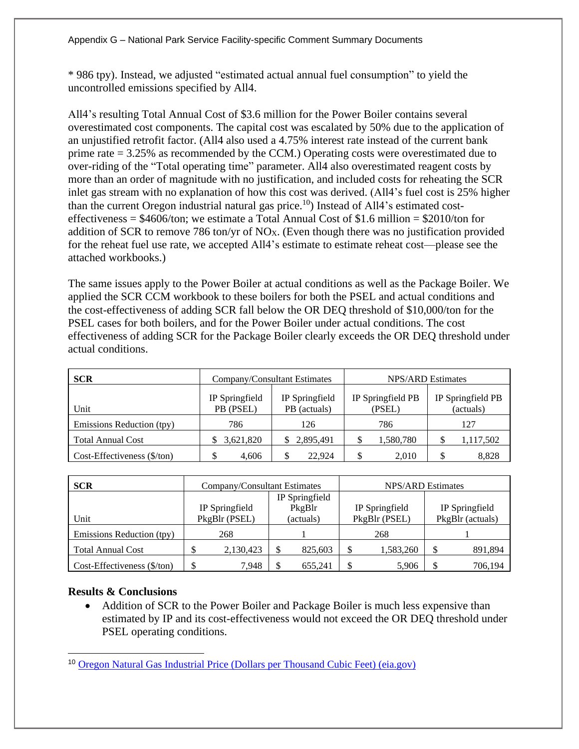\* 986 tpy). Instead, we adjusted "estimated actual annual fuel consumption" to yield the uncontrolled emissions specified by All4.

All4's resulting Total Annual Cost of \$3.6 million for the Power Boiler contains several overestimated cost components. The capital cost was escalated by 50% due to the application of an unjustified retrofit factor. (All4 also used a 4.75% interest rate instead of the current bank prime rate = 3.25% as recommended by the CCM.) Operating costs were overestimated due to over-riding of the "Total operating time" parameter. All4 also overestimated reagent costs by more than an order of magnitude with no justification, and included costs for reheating the SCR inlet gas stream with no explanation of how this cost was derived. (All4's fuel cost is 25% higher than the current Oregon industrial natural gas price.<sup>10</sup>) Instead of All4's estimated costeffectiveness =  $$4606/t$ on; we estimate a Total Annual Cost of \$1.6 million =  $$2010/t$ on for addition of SCR to remove 786 ton/yr of NOX. (Even though there was no justification provided for the reheat fuel use rate, we accepted All4's estimate to estimate reheat cost—please see the attached workbooks.)

The same issues apply to the Power Boiler at actual conditions as well as the Package Boiler. We applied the SCR CCM workbook to these boilers for both the PSEL and actual conditions and the cost-effectiveness of adding SCR fall below the OR DEQ threshold of \$10,000/ton for the PSEL cases for both boilers, and for the Power Boiler under actual conditions. The cost effectiveness of adding SCR for the Package Boiler clearly exceeds the OR DEQ threshold under actual conditions.

| <b>SCR</b>                            |                             | Company/Consultant Estimates   | NPS/ARD Estimates           |                                |  |  |
|---------------------------------------|-----------------------------|--------------------------------|-----------------------------|--------------------------------|--|--|
| Unit                                  | IP Springfield<br>PB (PSEL) | IP Springfield<br>PB (actuals) | IP Springfield PB<br>(PSEL) | IP Springfield PB<br>(actuals) |  |  |
| Emissions Reduction (tpy)             | 786                         | 126                            | 786                         | 127                            |  |  |
| <b>Total Annual Cost</b>              | 3,621,820                   | \$2,895,491                    | 1,580,780                   | 1,117,502                      |  |  |
| $Cost\text{-}Eff$ ectiveness (\$/ton) | 4.606                       | 22.924                         | 2,010                       | 8.828                          |  |  |

| <b>SCR</b>                  | Company/Consultant Estimates |               |                |           | <b>NPS/ARD Estimates</b> |                |                  |         |
|-----------------------------|------------------------------|---------------|----------------|-----------|--------------------------|----------------|------------------|---------|
|                             |                              |               | IP Springfield |           |                          |                |                  |         |
|                             | IP Springfield               |               |                | PkgBlr    |                          | IP Springfield | IP Springfield   |         |
| Unit                        |                              | PkgBlr (PSEL) |                | (actuals) |                          | PkgBlr (PSEL)  | PkgBlr (actuals) |         |
| Emissions Reduction (tpy)   | 268                          |               |                |           | 268                      |                |                  |         |
| <b>Total Annual Cost</b>    |                              | 2,130,423     |                | 825,603   |                          | 1,583,260      | J                | 891,894 |
| Cost-Effectiveness (\$/ton) |                              | 7.948         |                | 655.241   |                          | 5,906          |                  | 706,194 |

# **Results & Conclusions**

• Addition of SCR to the Power Boiler and Package Boiler is much less expensive than estimated by IP and its cost-effectiveness would not exceed the OR DEQ threshold under PSEL operating conditions.

<sup>10</sup> [Oregon Natural Gas Industrial Price \(Dollars per Thousand Cubic Feet\) \(eia.gov\)](https://www.eia.gov/dnav/ng/hist/n3035or3m.htm)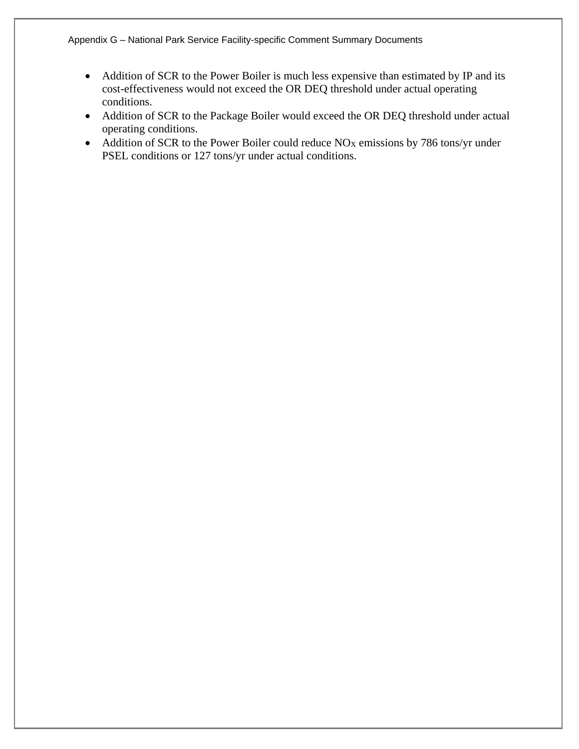- Addition of SCR to the Power Boiler is much less expensive than estimated by IP and its cost-effectiveness would not exceed the OR DEQ threshold under actual operating conditions.
- Addition of SCR to the Package Boiler would exceed the OR DEQ threshold under actual operating conditions.
- Addition of SCR to the Power Boiler could reduce NO<sub>X</sub> emissions by 786 tons/yr under PSEL conditions or 127 tons/yr under actual conditions.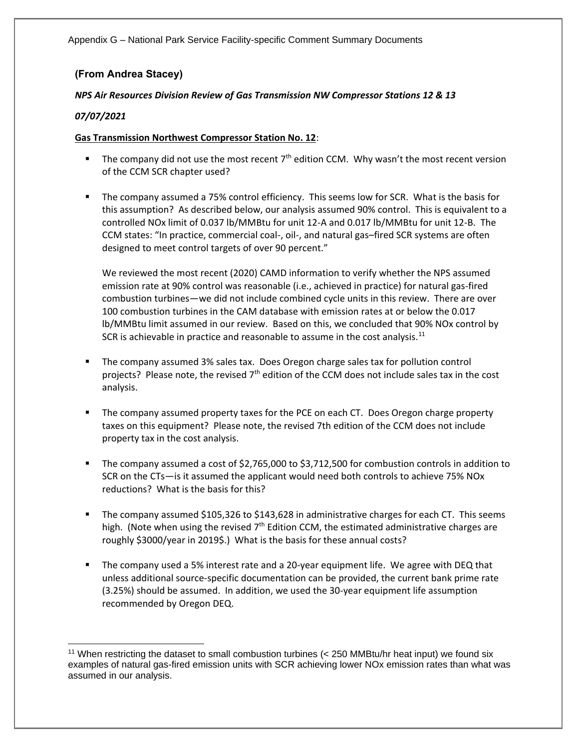# **(From Andrea Stacey)**

#### *NPS Air Resources Division Review of Gas Transmission NW Compressor Stations 12 & 13*

## *07/07/2021*

#### **Gas Transmission Northwest Compressor Station No. 12**:

- **■** The company did not use the most recent  $7<sup>th</sup>$  edition CCM. Why wasn't the most recent version of the CCM SCR chapter used?
- The company assumed a 75% control efficiency. This seems low for SCR. What is the basis for this assumption? As described below, our analysis assumed 90% control. This is equivalent to a controlled NOx limit of 0.037 lb/MMBtu for unit 12-A and 0.017 lb/MMBtu for unit 12-B. The CCM states: "In practice, commercial coal-, oil-, and natural gas–fired SCR systems are often designed to meet control targets of over 90 percent."

We reviewed the most recent (2020) CAMD information to verify whether the NPS assumed emission rate at 90% control was reasonable (i.e., achieved in practice) for natural gas-fired combustion turbines—we did not include combined cycle units in this review. There are over 100 combustion turbines in the CAM database with emission rates at or below the 0.017 lb/MMBtu limit assumed in our review. Based on this, we concluded that 90% NOx control by SCR is achievable in practice and reasonable to assume in the cost analysis.<sup>11</sup>

- The company assumed 3% sales tax. Does Oregon charge sales tax for pollution control projects? Please note, the revised  $7<sup>th</sup>$  edition of the CCM does not include sales tax in the cost analysis.
- **■** The company assumed property taxes for the PCE on each CT. Does Oregon charge property taxes on this equipment? Please note, the revised 7th edition of the CCM does not include property tax in the cost analysis.
- The company assumed a cost of \$2,765,000 to \$3,712,500 for combustion controls in addition to SCR on the CTs—is it assumed the applicant would need both controls to achieve 75% NOx reductions? What is the basis for this?
- The company assumed \$105,326 to \$143,628 in administrative charges for each CT. This seems high. (Note when using the revised  $7<sup>th</sup>$  Edition CCM, the estimated administrative charges are roughly \$3000/year in 2019\$.) What is the basis for these annual costs?
- The company used a 5% interest rate and a 20-year equipment life. We agree with DEQ that unless additional source-specific documentation can be provided, the current bank prime rate (3.25%) should be assumed. In addition, we used the 30-year equipment life assumption recommended by Oregon DEQ.

<sup>&</sup>lt;sup>11</sup> When restricting the dataset to small combustion turbines (< 250 MMBtu/hr heat input) we found six examples of natural gas-fired emission units with SCR achieving lower NOx emission rates than what was assumed in our analysis.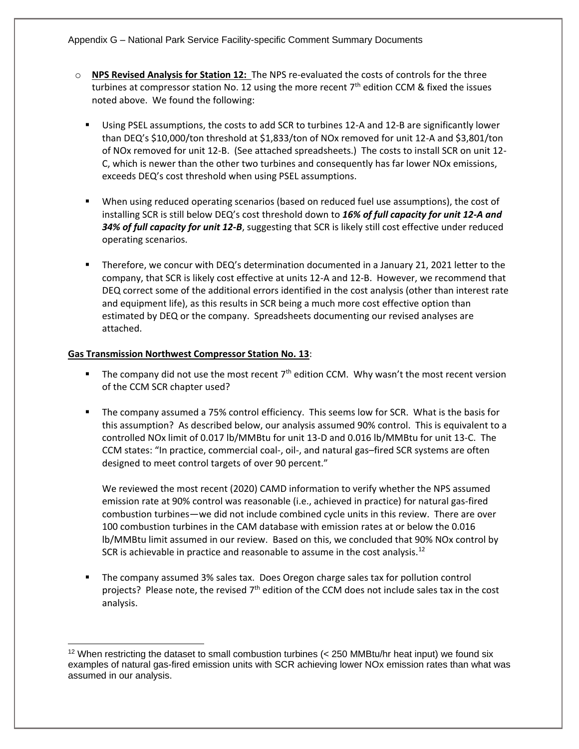- o **NPS Revised Analysis for Station 12:** The NPS re-evaluated the costs of controls for the three turbines at compressor station No. 12 using the more recent  $7<sup>th</sup>$  edition CCM & fixed the issues noted above. We found the following:
	- Using PSEL assumptions, the costs to add SCR to turbines 12-A and 12-B are significantly lower than DEQ's \$10,000/ton threshold at \$1,833/ton of NOx removed for unit 12-A and \$3,801/ton of NOx removed for unit 12-B. (See attached spreadsheets.) The costs to install SCR on unit 12- C, which is newer than the other two turbines and consequently has far lower NOx emissions, exceeds DEQ's cost threshold when using PSEL assumptions.
	- When using reduced operating scenarios (based on reduced fuel use assumptions), the cost of installing SCR is still below DEQ's cost threshold down to *16% of full capacity for unit 12-A and 34% of full capacity for unit 12-B*, suggesting that SCR is likely still cost effective under reduced operating scenarios.
	- Therefore, we concur with DEQ's determination documented in a January 21, 2021 letter to the company, that SCR is likely cost effective at units 12-A and 12-B. However, we recommend that DEQ correct some of the additional errors identified in the cost analysis (other than interest rate and equipment life), as this results in SCR being a much more cost effective option than estimated by DEQ or the company. Spreadsheets documenting our revised analyses are attached.

#### **Gas Transmission Northwest Compressor Station No. 13**:

- **■** The company did not use the most recent  $7<sup>th</sup>$  edition CCM. Why wasn't the most recent version of the CCM SCR chapter used?
- The company assumed a 75% control efficiency. This seems low for SCR. What is the basis for this assumption? As described below, our analysis assumed 90% control. This is equivalent to a controlled NOx limit of 0.017 lb/MMBtu for unit 13-D and 0.016 lb/MMBtu for unit 13-C. The CCM states: "In practice, commercial coal-, oil-, and natural gas–fired SCR systems are often designed to meet control targets of over 90 percent."

We reviewed the most recent (2020) CAMD information to verify whether the NPS assumed emission rate at 90% control was reasonable (i.e., achieved in practice) for natural gas-fired combustion turbines—we did not include combined cycle units in this review. There are over 100 combustion turbines in the CAM database with emission rates at or below the 0.016 lb/MMBtu limit assumed in our review. Based on this, we concluded that 90% NOx control by SCR is achievable in practice and reasonable to assume in the cost analysis.<sup>12</sup>

The company assumed 3% sales tax. Does Oregon charge sales tax for pollution control projects? Please note, the revised  $7<sup>th</sup>$  edition of the CCM does not include sales tax in the cost analysis.

 $12$  When restricting the dataset to small combustion turbines ( $<$  250 MMBtu/hr heat input) we found six examples of natural gas-fired emission units with SCR achieving lower NOx emission rates than what was assumed in our analysis.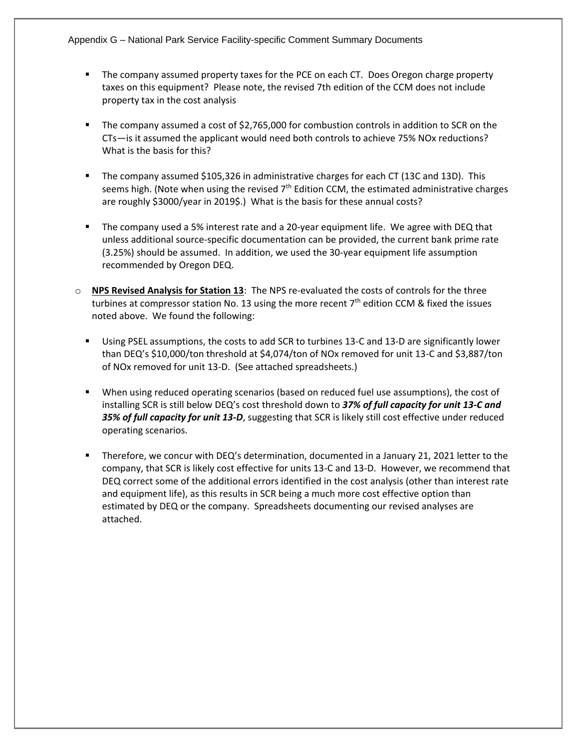- The company assumed property taxes for the PCE on each CT. Does Oregon charge property taxes on this equipment? Please note, the revised 7th edition of the CCM does not include property tax in the cost analysis
- The company assumed a cost of \$2,765,000 for combustion controls in addition to SCR on the CTs—is it assumed the applicant would need both controls to achieve 75% NOx reductions? What is the basis for this?
- The company assumed \$105,326 in administrative charges for each CT (13C and 13D). This seems high. (Note when using the revised  $7<sup>th</sup>$  Edition CCM, the estimated administrative charges are roughly \$3000/year in 2019\$.) What is the basis for these annual costs?
- The company used a 5% interest rate and a 20-year equipment life. We agree with DEQ that unless additional source-specific documentation can be provided, the current bank prime rate (3.25%) should be assumed. In addition, we used the 30-year equipment life assumption recommended by Oregon DEQ.
- o **NPS Revised Analysis for Station 13**: The NPS re-evaluated the costs of controls for the three turbines at compressor station No. 13 using the more recent  $7<sup>th</sup>$  edition CCM & fixed the issues noted above. We found the following:
	- Using PSEL assumptions, the costs to add SCR to turbines 13-C and 13-D are significantly lower than DEQ's \$10,000/ton threshold at \$4,074/ton of NOx removed for unit 13-C and \$3,887/ton of NOx removed for unit 13-D. (See attached spreadsheets.)
	- When using reduced operating scenarios (based on reduced fuel use assumptions), the cost of installing SCR is still below DEQ's cost threshold down to *37% of full capacity for unit 13-C and 35% of full capacity for unit 13-D*, suggesting that SCR is likely still cost effective under reduced operating scenarios.
	- Therefore, we concur with DEQ's determination, documented in a January 21, 2021 letter to the company, that SCR is likely cost effective for units 13-C and 13-D. However, we recommend that DEQ correct some of the additional errors identified in the cost analysis (other than interest rate and equipment life), as this results in SCR being a much more cost effective option than estimated by DEQ or the company. Spreadsheets documenting our revised analyses are attached.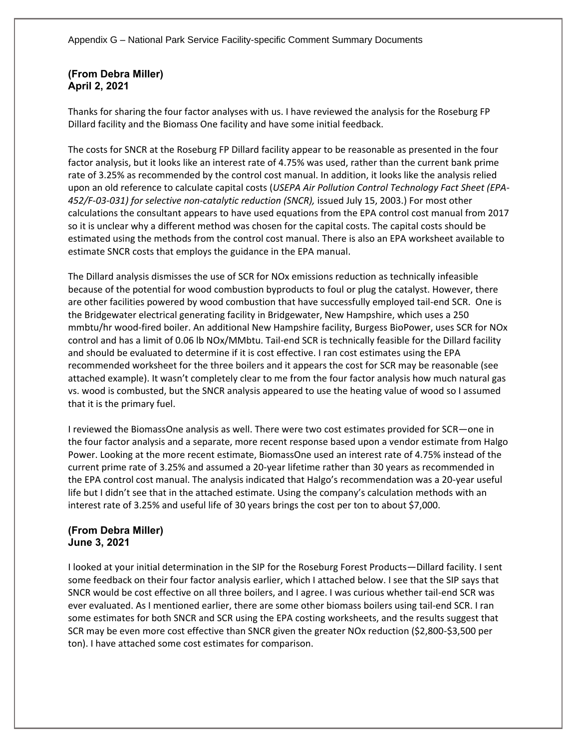# **(From Debra Miller) April 2, 2021**

Thanks for sharing the four factor analyses with us. I have reviewed the analysis for the Roseburg FP Dillard facility and the Biomass One facility and have some initial feedback.

The costs for SNCR at the Roseburg FP Dillard facility appear to be reasonable as presented in the four factor analysis, but it looks like an interest rate of 4.75% was used, rather than the current bank prime rate of 3.25% as recommended by the control cost manual. In addition, it looks like the analysis relied upon an old reference to calculate capital costs (*USEPA Air Pollution Control Technology Fact Sheet (EPA-452/F-03-031) for selective non-catalytic reduction (SNCR),* issued July 15, 2003.) For most other calculations the consultant appears to have used equations from the EPA control cost manual from 2017 so it is unclear why a different method was chosen for the capital costs. The capital costs should be estimated using the methods from the control cost manual. There is also an EPA worksheet available to estimate SNCR costs that employs the guidance in the EPA manual.

The Dillard analysis dismisses the use of SCR for NOx emissions reduction as technically infeasible because of the potential for wood combustion byproducts to foul or plug the catalyst. However, there are other facilities powered by wood combustion that have successfully employed tail-end SCR. One is the Bridgewater electrical generating facility in Bridgewater, New Hampshire, which uses a 250 mmbtu/hr wood-fired boiler. An additional New Hampshire facility, Burgess BioPower, uses SCR for NOx control and has a limit of 0.06 lb NOx/MMbtu. Tail-end SCR is technically feasible for the Dillard facility and should be evaluated to determine if it is cost effective. I ran cost estimates using the EPA recommended worksheet for the three boilers and it appears the cost for SCR may be reasonable (see attached example). It wasn't completely clear to me from the four factor analysis how much natural gas vs. wood is combusted, but the SNCR analysis appeared to use the heating value of wood so I assumed that it is the primary fuel.

I reviewed the BiomassOne analysis as well. There were two cost estimates provided for SCR—one in the four factor analysis and a separate, more recent response based upon a vendor estimate from Halgo Power. Looking at the more recent estimate, BiomassOne used an interest rate of 4.75% instead of the current prime rate of 3.25% and assumed a 20-year lifetime rather than 30 years as recommended in the EPA control cost manual. The analysis indicated that Halgo's recommendation was a 20-year useful life but I didn't see that in the attached estimate. Using the company's calculation methods with an interest rate of 3.25% and useful life of 30 years brings the cost per ton to about \$7,000.

## **(From Debra Miller) June 3, 2021**

I looked at your initial determination in the SIP for the Roseburg Forest Products—Dillard facility. I sent some feedback on their four factor analysis earlier, which I attached below. I see that the SIP says that SNCR would be cost effective on all three boilers, and I agree. I was curious whether tail-end SCR was ever evaluated. As I mentioned earlier, there are some other biomass boilers using tail-end SCR. I ran some estimates for both SNCR and SCR using the EPA costing worksheets, and the results suggest that SCR may be even more cost effective than SNCR given the greater NOx reduction (\$2,800-\$3,500 per ton). I have attached some cost estimates for comparison.